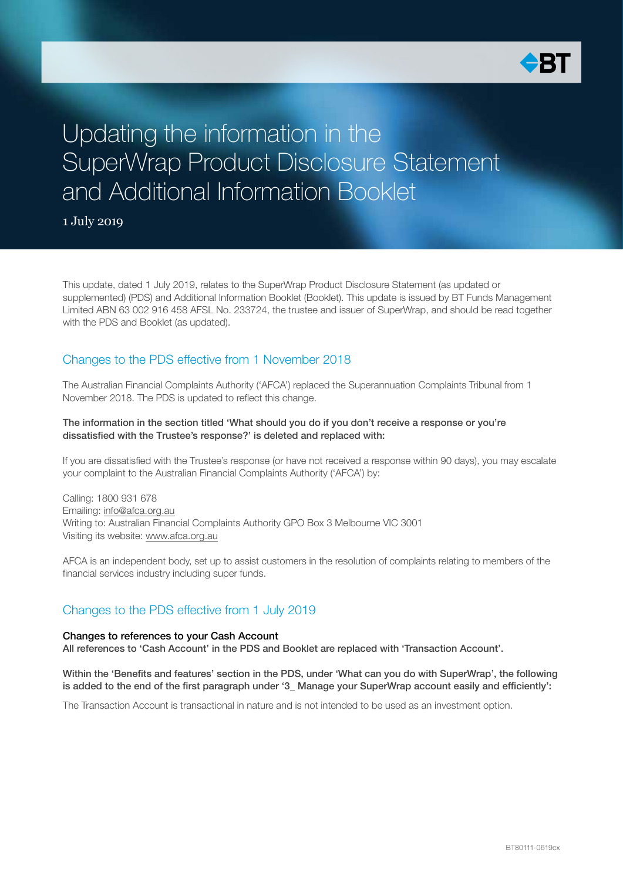

## Updating the information in the SuperWrap Product Disclosure Statement and Additional Information Booklet

1 July 2019

This update, dated 1 July 2019, relates to the SuperWrap Product Disclosure Statement (as updated or supplemented) (PDS) and Additional Information Booklet (Booklet). This update is issued by BT Funds Management Limited ABN 63 002 916 458 AFSL No. 233724, the trustee and issuer of SuperWrap, and should be read together with the PDS and Booklet (as updated).

### Changes to the PDS effective from 1 November 2018

The Australian Financial Complaints Authority ('AFCA') replaced the Superannuation Complaints Tribunal from 1 November 2018. The PDS is updated to reflect this change.

#### The information in the section titled 'What should you do if you don't receive a response or you're dissatisfied with the Trustee's response?' is deleted and replaced with:

If you are dissatisfied with the Trustee's response (or have not received a response within 90 days), you may escalate your complaint to the Australian Financial Complaints Authority ('AFCA') by:

Calling: 1800 931 678 Emailing: [info@afca.org.au](mailto:info%40afca.org.au?subject=) Writing to: Australian Financial Complaints Authority GPO Box 3 Melbourne VIC 3001 Visiting its website: [www.afca.org.au](http://www.afca.org.au)

AFCA is an independent body, set up to assist customers in the resolution of complaints relating to members of the financial services industry including super funds.

### Changes to the PDS effective from 1 July 2019

#### Changes to references to your Cash Account

All references to 'Cash Account' in the PDS and Booklet are replaced with 'Transaction Account'.

Within the 'Benefits and features' section in the PDS, under 'What can you do with SuperWrap', the following is added to the end of the first paragraph under '3\_ Manage your SuperWrap account easily and efficiently':

The Transaction Account is transactional in nature and is not intended to be used as an investment option.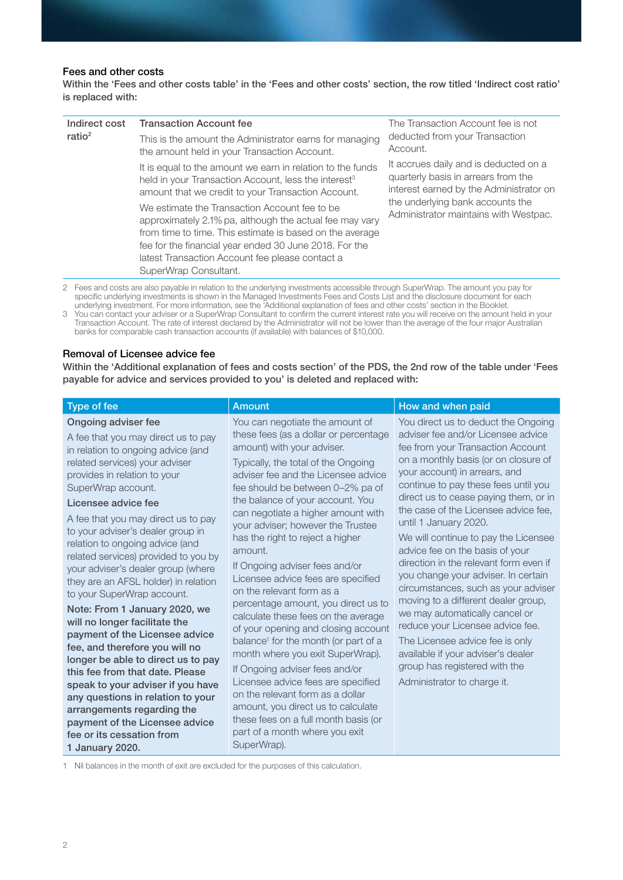#### Fees and other costs

Within the 'Fees and other costs table' in the 'Fees and other costs' section, the row titled 'Indirect cost ratio' is replaced with:

| Indirect cost<br>ratio $2$ | <b>Transaction Account fee</b>                                                                                                                                                                                                                                                                             | The Transaction Account fee is not                                                                                      |
|----------------------------|------------------------------------------------------------------------------------------------------------------------------------------------------------------------------------------------------------------------------------------------------------------------------------------------------------|-------------------------------------------------------------------------------------------------------------------------|
|                            | This is the amount the Administrator earns for managing<br>the amount held in your Transaction Account.                                                                                                                                                                                                    | deducted from your Transaction<br>Account.                                                                              |
|                            | It is equal to the amount we earn in relation to the funds<br>held in your Transaction Account, less the interest <sup>3</sup><br>amount that we credit to your Transaction Account.                                                                                                                       | It accrues daily and is deducted on a<br>quarterly basis in arrears from the<br>interest earned by the Administrator on |
|                            | We estimate the Transaction Account fee to be<br>approximately 2.1% pa, although the actual fee may vary<br>from time to time. This estimate is based on the average<br>fee for the financial year ended 30 June 2018. For the<br>latest Transaction Account fee please contact a<br>SuperWrap Consultant. | the underlying bank accounts the<br>Administrator maintains with Westpac.                                               |

2 Fees and costs are also payable in relation to the underlying investments accessible through SuperWrap. The amount you pay for specific underlying investments is shown in the Managed Investments Fees and Costs List and the disclosure document for each underlying investment. For more information, see the 'Additional explanation of fees and other costs' section in the Booklet.

3 You can contact your adviser or a SuperWrap Consultant to confirm the current interest rate you will receive on the amount held in your Transaction Account. The rate of interest declared by the Administrator will not be lower than the average of the four major Australian banks for comparable cash transaction accounts (if available) with balances of \$10,000.

#### Removal of Licensee advice fee

Within the 'Additional explanation of fees and costs section' of the PDS, the 2nd row of the table under 'Fees payable for advice and services provided to you' is deleted and replaced with:

| Type of fee                                                                                                                                                                                                     | Amount                                                                                                                                                                                                                                                                     | How and when paid                                                                                                                                                                                                               |
|-----------------------------------------------------------------------------------------------------------------------------------------------------------------------------------------------------------------|----------------------------------------------------------------------------------------------------------------------------------------------------------------------------------------------------------------------------------------------------------------------------|---------------------------------------------------------------------------------------------------------------------------------------------------------------------------------------------------------------------------------|
| Ongoing adviser fee<br>A fee that you may direct us to pay<br>in relation to ongoing advice (and<br>related services) your adviser<br>provides in relation to your<br>SuperWrap account.                        | You can negotiate the amount of<br>these fees (as a dollar or percentage<br>amount) with your adviser.<br>Typically, the total of the Ongoing<br>adviser fee and the Licensee advice<br>fee should be between 0-2% pa of                                                   | You direct us to deduct the Ongoing<br>adviser fee and/or Licensee advice<br>fee from your Transaction Account<br>on a monthly basis (or on closure of<br>your account) in arrears, and<br>continue to pay these fees until you |
| Licensee advice fee<br>A fee that you may direct us to pay<br>to your adviser's dealer group in<br>relation to ongoing advice (and<br>related services) provided to you by                                      | the balance of your account. You<br>can negotiate a higher amount with<br>your adviser; however the Trustee<br>has the right to reject a higher<br>amount.                                                                                                                 | direct us to cease paying them, or in<br>the case of the Licensee advice fee,<br>until 1 January 2020.<br>We will continue to pay the Licensee<br>advice fee on the basis of your<br>direction in the relevant form even if     |
| your adviser's dealer group (where<br>they are an AFSL holder) in relation<br>to your SuperWrap account.<br>Note: From 1 January 2020, we<br>will no longer facilitate the<br>payment of the Licensee advice    | If Ongoing adviser fees and/or<br>Licensee advice fees are specified<br>on the relevant form as a<br>percentage amount, you direct us to<br>calculate these fees on the average<br>of your opening and closing account<br>balance <sup>1</sup> for the month (or part of a | you change your adviser. In certain<br>circumstances, such as your adviser<br>moving to a different dealer group,<br>we may automatically cancel or<br>reduce your Licensee advice fee.<br>The Licensee advice fee is only      |
| fee, and therefore you will no<br>longer be able to direct us to pay<br>this fee from that date. Please<br>speak to your adviser if you have<br>any questions in relation to your<br>arrangements regarding the | month where you exit SuperWrap).<br>If Ongoing adviser fees and/or<br>Licensee advice fees are specified<br>on the relevant form as a dollar<br>amount, you direct us to calculate                                                                                         | available if your adviser's dealer<br>group has registered with the<br>Administrator to charge it.                                                                                                                              |
| payment of the Licensee advice<br>fee or its cessation from<br>1 January 2020.                                                                                                                                  | these fees on a full month basis (or<br>part of a month where you exit<br>SuperWrap).                                                                                                                                                                                      |                                                                                                                                                                                                                                 |

1 Nil balances in the month of exit are excluded for the purposes of this calculation.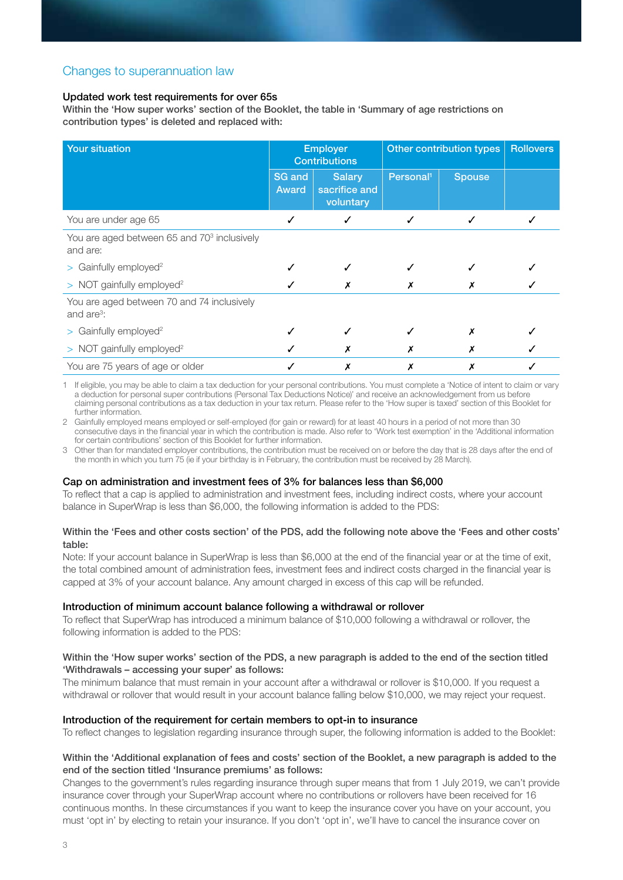### Changes to superannuation law

#### Updated work test requirements for over 65s

Within the 'How super works' section of the Booklet, the table in 'Summary of age restrictions on contribution types' is deleted and replaced with:

| <b>Your situation</b>                                               | <b>Employer</b><br><b>Contributions</b> |                                             | Other contribution types |               | <b>Rollovers</b> |
|---------------------------------------------------------------------|-----------------------------------------|---------------------------------------------|--------------------------|---------------|------------------|
|                                                                     | <b>SG</b> and<br><b>Award</b>           | <b>Salary</b><br>sacrifice and<br>voluntary | Personal <sup>1</sup>    | <b>Spouse</b> |                  |
| You are under age 65                                                | ✓                                       | ✓                                           | ✓                        | ✓             |                  |
| You are aged between 65 and 70 <sup>3</sup> inclusively<br>and are: |                                         |                                             |                          |               |                  |
| $>$ Gainfully employed <sup>2</sup>                                 |                                         |                                             |                          |               |                  |
| $>$ NOT gainfully employed <sup>2</sup>                             |                                         |                                             |                          |               |                  |
| You are aged between 70 and 74 inclusively<br>and $are^3$ :         |                                         |                                             |                          |               |                  |
| $>$ Gainfully employed <sup>2</sup>                                 |                                         |                                             |                          | х             |                  |
| $>$ NOT gainfully employed <sup>2</sup>                             |                                         |                                             | х                        | х             |                  |
| You are 75 years of age or older                                    |                                         |                                             | Х                        | Х             |                  |

1 If eligible, you may be able to claim a tax deduction for your personal contributions. You must complete a 'Notice of intent to claim or vary a deduction for personal super contributions (Personal Tax Deductions Notice)' and receive an acknowledgement from us before claiming personal contributions as a tax deduction in your tax return. Please refer to the 'How super is taxed' section of this Booklet for further information.

2 Gainfully employed means employed or self-employed (for gain or reward) for at least 40 hours in a period of not more than 30 consecutive days in the financial year in which the contribution is made. Also refer to 'Work test exemption' in the 'Additional information for certain contributions' section of this Booklet for further information.

3 Other than for mandated employer contributions, the contribution must be received on or before the day that is 28 days after the end of the month in which you turn 75 (ie if your birthday is in February, the contribution must be received by 28 March).

#### Cap on administration and investment fees of 3% for balances less than \$6,000

To reflect that a cap is applied to administration and investment fees, including indirect costs, where your account balance in SuperWrap is less than \$6,000, the following information is added to the PDS:

#### Within the 'Fees and other costs section' of the PDS, add the following note above the 'Fees and other costs' table:

Note: If your account balance in SuperWrap is less than \$6,000 at the end of the financial year or at the time of exit, the total combined amount of administration fees, investment fees and indirect costs charged in the financial year is capped at 3% of your account balance. Any amount charged in excess of this cap will be refunded.

#### Introduction of minimum account balance following a withdrawal or rollover

To reflect that SuperWrap has introduced a minimum balance of \$10,000 following a withdrawal or rollover, the following information is added to the PDS:

#### Within the 'How super works' section of the PDS, a new paragraph is added to the end of the section titled 'Withdrawals – accessing your super' as follows:

The minimum balance that must remain in your account after a withdrawal or rollover is \$10,000. If you request a withdrawal or rollover that would result in your account balance falling below \$10,000, we may reject your request.

#### Introduction of the requirement for certain members to opt-in to insurance

To reflect changes to legislation regarding insurance through super, the following information is added to the Booklet:

#### Within the 'Additional explanation of fees and costs' section of the Booklet, a new paragraph is added to the end of the section titled 'Insurance premiums' as follows:

Changes to the government's rules regarding insurance through super means that from 1 July 2019, we can't provide insurance cover through your SuperWrap account where no contributions or rollovers have been received for 16 continuous months. In these circumstances if you want to keep the insurance cover you have on your account, you must 'opt in' by electing to retain your insurance. If you don't 'opt in', we'll have to cancel the insurance cover on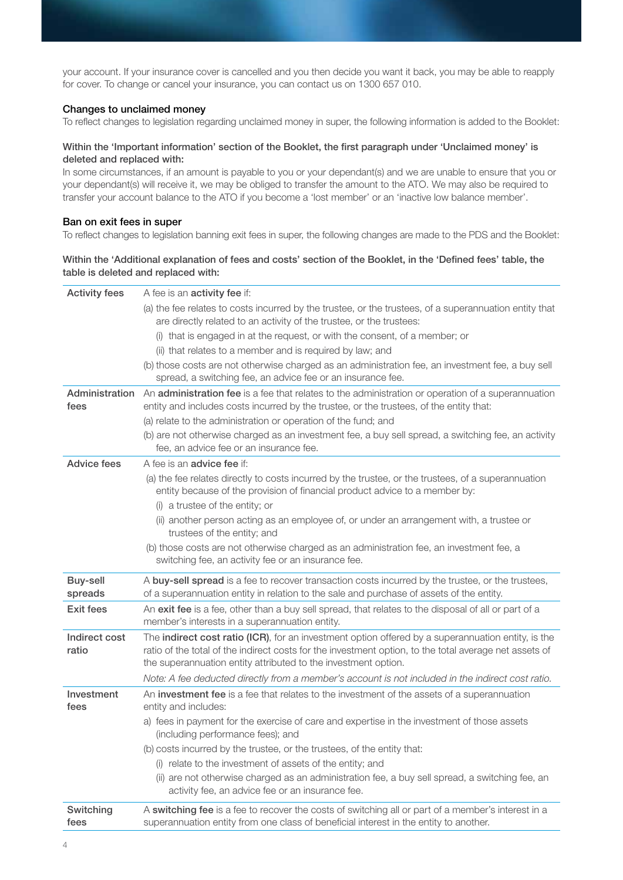your account. If your insurance cover is cancelled and you then decide you want it back, you may be able to reapply for cover. To change or cancel your insurance, you can contact us on 1300 657 010.

#### Changes to unclaimed money

To reflect changes to legislation regarding unclaimed money in super, the following information is added to the Booklet:

#### Within the 'Important information' section of the Booklet, the first paragraph under 'Unclaimed money' is deleted and replaced with:

In some circumstances, if an amount is payable to you or your dependant(s) and we are unable to ensure that you or your dependant(s) will receive it, we may be obliged to transfer the amount to the ATO. We may also be required to transfer your account balance to the ATO if you become a 'lost member' or an 'inactive low balance member'.

#### Ban on exit fees in super

To reflect changes to legislation banning exit fees in super, the following changes are made to the PDS and the Booklet:

#### Within the 'Additional explanation of fees and costs' section of the Booklet, in the 'Defined fees' table, the table is deleted and replaced with:

| <b>Activity fees</b>       | A fee is an <b>activity fee</b> if:                                                                                                                                                                                                                                            |
|----------------------------|--------------------------------------------------------------------------------------------------------------------------------------------------------------------------------------------------------------------------------------------------------------------------------|
|                            | (a) the fee relates to costs incurred by the trustee, or the trustees, of a superannuation entity that<br>are directly related to an activity of the trustee, or the trustees:                                                                                                 |
|                            | (i) that is engaged in at the request, or with the consent, of a member; or                                                                                                                                                                                                    |
|                            | (ii) that relates to a member and is required by law; and                                                                                                                                                                                                                      |
|                            | (b) those costs are not otherwise charged as an administration fee, an investment fee, a buy sell                                                                                                                                                                              |
|                            | spread, a switching fee, an advice fee or an insurance fee.                                                                                                                                                                                                                    |
| Administration<br>fees     | An administration fee is a fee that relates to the administration or operation of a superannuation<br>entity and includes costs incurred by the trustee, or the trustees, of the entity that:                                                                                  |
|                            | (a) relate to the administration or operation of the fund; and                                                                                                                                                                                                                 |
|                            | (b) are not otherwise charged as an investment fee, a buy sell spread, a switching fee, an activity<br>fee, an advice fee or an insurance fee.                                                                                                                                 |
| Advice fees                | A fee is an <b>advice fee</b> if:                                                                                                                                                                                                                                              |
|                            | (a) the fee relates directly to costs incurred by the trustee, or the trustees, of a superannuation<br>entity because of the provision of financial product advice to a member by:<br>(i) a trustee of the entity; or                                                          |
|                            | (ii) another person acting as an employee of, or under an arrangement with, a trustee or<br>trustees of the entity; and                                                                                                                                                        |
|                            | (b) those costs are not otherwise charged as an administration fee, an investment fee, a<br>switching fee, an activity fee or an insurance fee.                                                                                                                                |
| <b>Buy-sell</b><br>spreads | A buy-sell spread is a fee to recover transaction costs incurred by the trustee, or the trustees,<br>of a superannuation entity in relation to the sale and purchase of assets of the entity.                                                                                  |
| <b>Exit fees</b>           | An exit fee is a fee, other than a buy sell spread, that relates to the disposal of all or part of a<br>member's interests in a superannuation entity.                                                                                                                         |
| Indirect cost<br>ratio     | The indirect cost ratio (ICR), for an investment option offered by a superannuation entity, is the<br>ratio of the total of the indirect costs for the investment option, to the total average net assets of<br>the superannuation entity attributed to the investment option. |
|                            | Note: A fee deducted directly from a member's account is not included in the indirect cost ratio.                                                                                                                                                                              |
| Investment<br>fees         | An investment fee is a fee that relates to the investment of the assets of a superannuation<br>entity and includes:                                                                                                                                                            |
|                            | a) fees in payment for the exercise of care and expertise in the investment of those assets<br>(including performance fees); and                                                                                                                                               |
|                            | (b) costs incurred by the trustee, or the trustees, of the entity that:                                                                                                                                                                                                        |
|                            | (i) relate to the investment of assets of the entity; and                                                                                                                                                                                                                      |
|                            | (ii) are not otherwise charged as an administration fee, a buy sell spread, a switching fee, an<br>activity fee, an advice fee or an insurance fee.                                                                                                                            |
| Switching<br>fees          | A switching fee is a fee to recover the costs of switching all or part of a member's interest in a<br>superannuation entity from one class of beneficial interest in the entity to another.                                                                                    |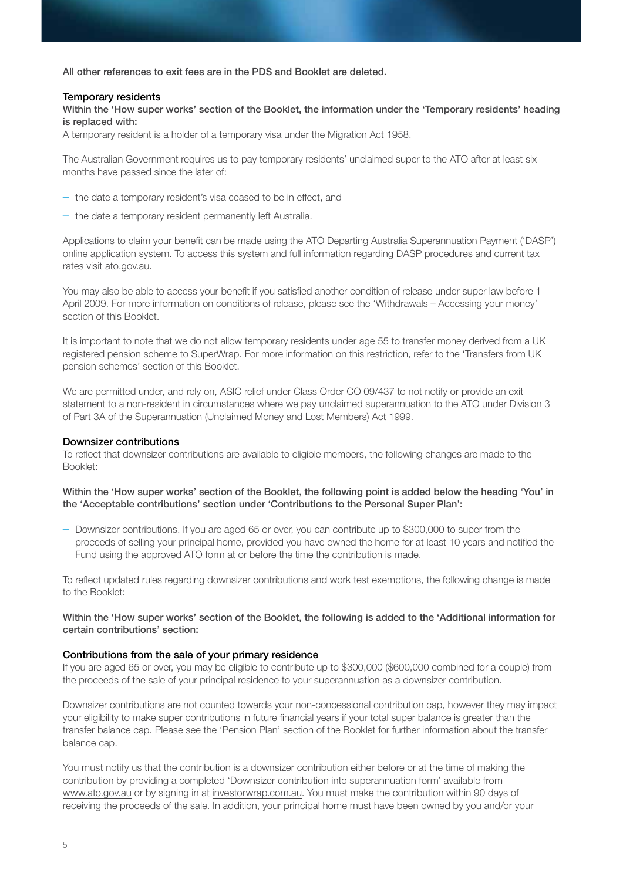All other references to exit fees are in the PDS and Booklet are deleted.

#### Temporary residents

Within the 'How super works' section of the Booklet, the information under the 'Temporary residents' heading is replaced with:

A temporary resident is a holder of a temporary visa under the Migration Act 1958.

The Australian Government requires us to pay temporary residents' unclaimed super to the ATO after at least six months have passed since the later of:

- the date a temporary resident's visa ceased to be in effect, and
- the date a temporary resident permanently left Australia.

Applications to claim your benefit can be made using the ATO Departing Australia Superannuation Payment ('DASP') online application system. To access this system and full information regarding DASP procedures and current tax rates visit [ato.gov.au.](http://ato.gov.au)

You may also be able to access your benefit if you satisfied another condition of release under super law before 1 April 2009. For more information on conditions of release, please see the 'Withdrawals – Accessing your money' section of this Booklet.

It is important to note that we do not allow temporary residents under age 55 to transfer money derived from a UK registered pension scheme to SuperWrap. For more information on this restriction, refer to the 'Transfers from UK pension schemes' section of this Booklet.

We are permitted under, and rely on, ASIC relief under Class Order CO 09/437 to not notify or provide an exit statement to a non-resident in circumstances where we pay unclaimed superannuation to the ATO under Division 3 of Part 3A of the Superannuation (Unclaimed Money and Lost Members) Act 1999.

#### Downsizer contributions

To reflect that downsizer contributions are available to eligible members, the following changes are made to the Booklet:

#### Within the 'How super works' section of the Booklet, the following point is added below the heading 'You' in the 'Acceptable contributions' section under 'Contributions to the Personal Super Plan':

– Downsizer contributions. If you are aged 65 or over, you can contribute up to \$300,000 to super from the proceeds of selling your principal home, provided you have owned the home for at least 10 years and notified the Fund using the approved ATO form at or before the time the contribution is made.

To reflect updated rules regarding downsizer contributions and work test exemptions, the following change is made to the Booklet:

#### Within the 'How super works' section of the Booklet, the following is added to the 'Additional information for certain contributions' section:

#### Contributions from the sale of your primary residence

If you are aged 65 or over, you may be eligible to contribute up to \$300,000 (\$600,000 combined for a couple) from the proceeds of the sale of your principal residence to your superannuation as a downsizer contribution.

Downsizer contributions are not counted towards your non-concessional contribution cap, however they may impact your eligibility to make super contributions in future financial years if your total super balance is greater than the transfer balance cap. Please see the 'Pension Plan' section of the Booklet for further information about the transfer balance cap.

You must notify us that the contribution is a downsizer contribution either before or at the time of making the contribution by providing a completed 'Downsizer contribution into superannuation form' available from [www.ato.gov.au](http://www.ato.gov.au) or by signing in at [investorwrap.com.au](http://investorwrap.com.au). You must make the contribution within 90 days of receiving the proceeds of the sale. In addition, your principal home must have been owned by you and/or your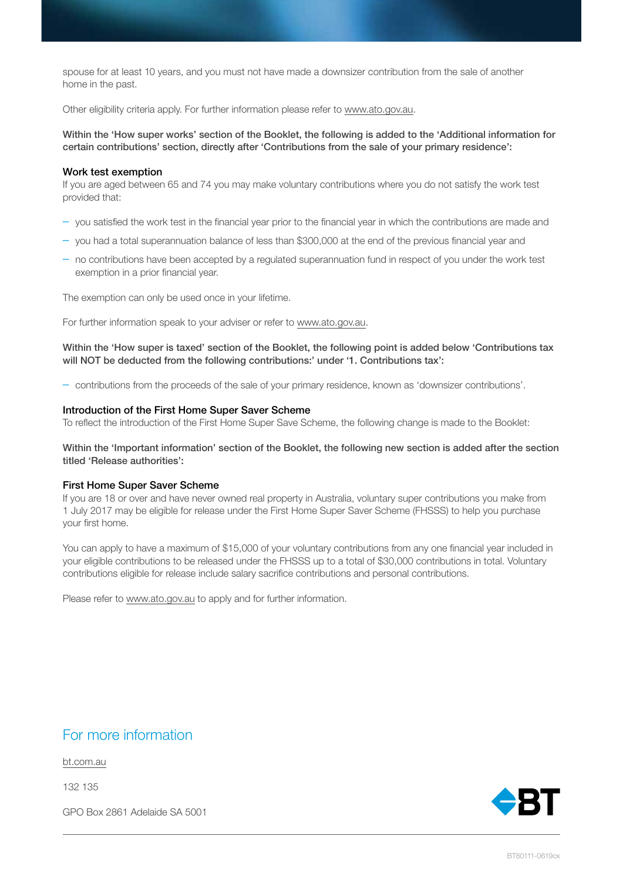spouse for at least 10 years, and you must not have made a downsizer contribution from the sale of another home in the past.

Other eligibility criteria apply. For further information please refer to [www.ato.gov.au.](http://www.ato.gov.au)

Within the 'How super works' section of the Booklet, the following is added to the 'Additional information for certain contributions' section, directly after 'Contributions from the sale of your primary residence':

#### Work test exemption

If you are aged between 65 and 74 you may make voluntary contributions where you do not satisfy the work test provided that:

- you satisfied the work test in the financial year prior to the financial year in which the contributions are made and
- you had a total superannuation balance of less than \$300,000 at the end of the previous financial year and
- no contributions have been accepted by a regulated superannuation fund in respect of you under the work test exemption in a prior financial year.

The exemption can only be used once in your lifetime.

For further information speak to your adviser or refer to [www.ato.gov.au](http://www.ato.gov.au).

Within the 'How super is taxed' section of the Booklet, the following point is added below 'Contributions tax will NOT be deducted from the following contributions:' under '1. Contributions tax':

– contributions from the proceeds of the sale of your primary residence, known as 'downsizer contributions'.

#### Introduction of the First Home Super Saver Scheme

To reflect the introduction of the First Home Super Save Scheme, the following change is made to the Booklet:

Within the 'Important information' section of the Booklet, the following new section is added after the section titled 'Release authorities':

#### First Home Super Saver Scheme

If you are 18 or over and have never owned real property in Australia, voluntary super contributions you make from 1 July 2017 may be eligible for release under the First Home Super Saver Scheme (FHSSS) to help you purchase your first home.

You can apply to have a maximum of \$15,000 of your voluntary contributions from any one financial year included in your eligible contributions to be released under the FHSSS up to a total of \$30,000 contributions in total. Voluntary contributions eligible for release include salary sacrifice contributions and personal contributions.

Please refer to [www.ato.gov.au](http://www.ato.gov.au) to apply and for further information.

### For more information

bt.com.au

132 135

GPO Box 2861 Adelaide SA 5001

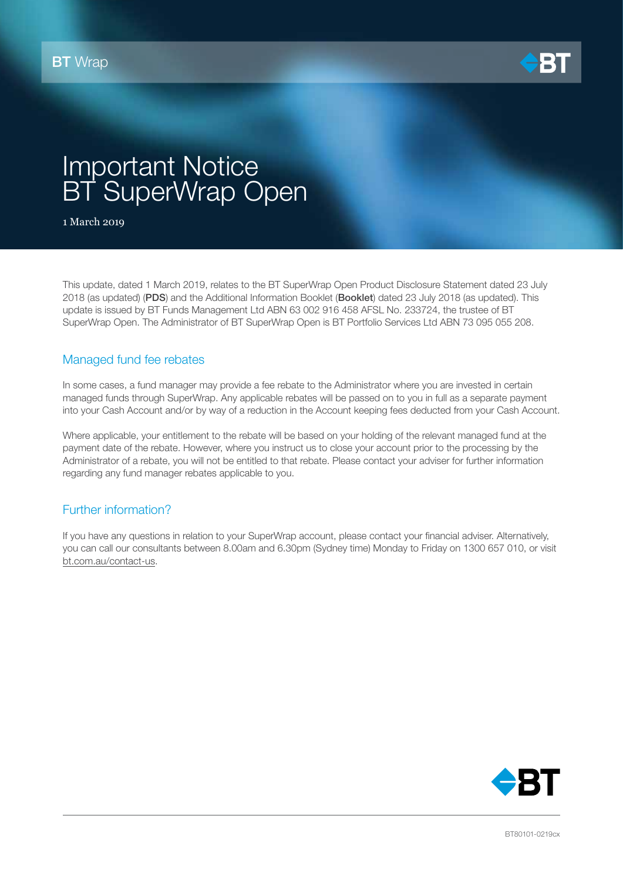

## Important Notice BT SuperWrap Open

1 March 2019

This update, dated 1 March 2019, relates to the BT SuperWrap Open Product Disclosure Statement dated 23 July 2018 (as updated) (PDS) and the Additional Information Booklet (Booklet) dated 23 July 2018 (as updated). This update is issued by BT Funds Management Ltd ABN 63 002 916 458 AFSL No. 233724, the trustee of BT SuperWrap Open. The Administrator of BT SuperWrap Open is BT Portfolio Services Ltd ABN 73 095 055 208.

#### Managed fund fee rebates

In some cases, a fund manager may provide a fee rebate to the Administrator where you are invested in certain managed funds through SuperWrap. Any applicable rebates will be passed on to you in full as a separate payment into your Cash Account and/or by way of a reduction in the Account keeping fees deducted from your Cash Account.

Where applicable, your entitlement to the rebate will be based on your holding of the relevant managed fund at the payment date of the rebate. However, where you instruct us to close your account prior to the processing by the Administrator of a rebate, you will not be entitled to that rebate. Please contact your adviser for further information regarding any fund manager rebates applicable to you.

### Further information?

If you have any questions in relation to your SuperWrap account, please contact your financial adviser. Alternatively, you can call our consultants between 8.00am and 6.30pm (Sydney time) Monday to Friday on 1300 657 010, or visit [bt.com.au/contact-us](http://bt.com.au/contact-us).

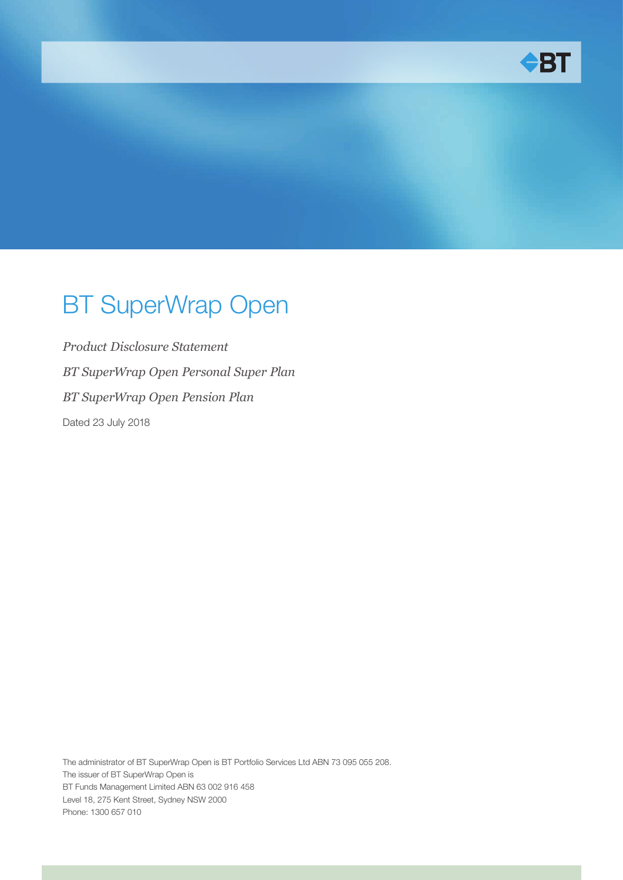

# BT SuperWrap Open

*Product Disclosure Statement BT SuperWrap Open Personal Super Plan BT SuperWrap Open Pension Plan* Dated 23 July 2018

The administrator of BT SuperWrap Open is BT Portfolio Services Ltd ABN 73 095 055 208. The issuer of BT SuperWrap Open is BT Funds Management Limited ABN 63 002 916 458 Level 18, 275 Kent Street, Sydney NSW 2000 Phone: 1300 657 010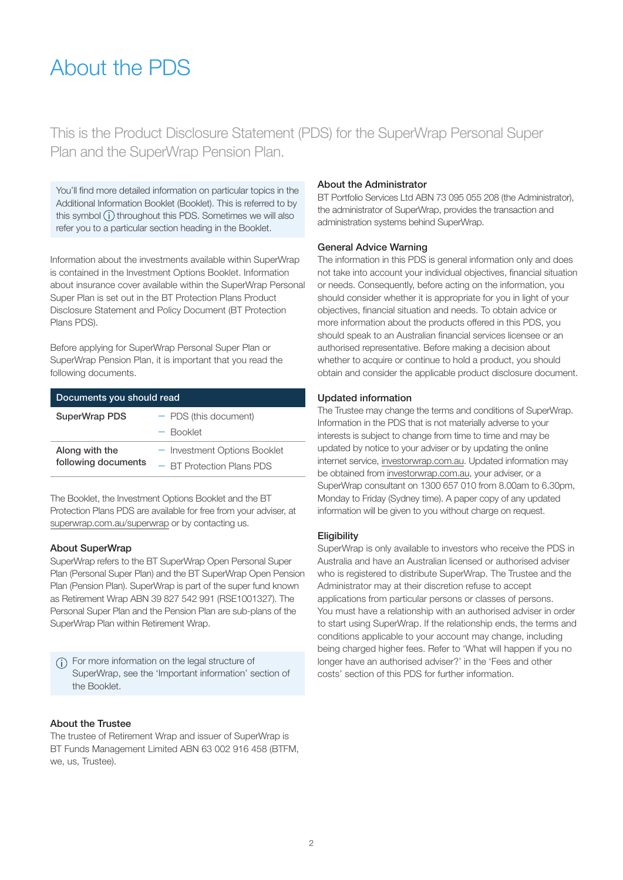### About the PDS

This is the Product Disclosure Statement (PDS) for the SuperWrap Personal Super Plan and the SuperWrap Pension Plan.

You'll find more detailed information on particular topics in the Additional Information Booklet (Booklet). This is referred to by this symbol  $(i)$  throughout this PDS. Sometimes we will also refer you to a particular section heading in the Booklet.

Information about the investments available within SuperWrap is contained in the Investment Options Booklet. Information about insurance cover available within the SuperWrap Personal Super Plan is set out in the BT Protection Plans Product Disclosure Statement and Policy Document (BT Protection Plans PDS).

Before applying for SuperWrap Personal Super Plan or SuperWrap Pension Plan, it is important that you read the following documents.

| Documents you should read |                              |  |
|---------------------------|------------------------------|--|
| SuperWrap PDS             | - PDS (this document)        |  |
|                           | - Booklet                    |  |
| Along with the            | - Investment Options Booklet |  |
| following documents       | $-$ BT Protection Plans PDS  |  |

The Booklet, the Investment Options Booklet and the BT Protection Plans PDS are available for free from your adviser, at <superwrap.com.au/superwrap>or by contacting us.

#### About SuperWrap

SuperWrap refers to the BT SuperWrap Open Personal Super Plan (Personal Super Plan) and the BT SuperWrap Open Pension Plan (Pension Plan). SuperWrap is part of the super fund known as Retirement Wrap ABN 39 827 542 991 (RSE1001327). The Personal Super Plan and the Pension Plan are sub-plans of the SuperWrap Plan within Retirement Wrap.

For more information on the legal structure of SuperWrap, see the 'Important information' section of the Booklet.

#### About the Trustee

The trustee of Retirement Wrap and issuer of SuperWrap is BT Funds Management Limited ABN 63 002 916 458 (BTFM, we, us, Trustee).

#### About the Administrator

BT Portfolio Services Ltd ABN 73 095 055 208 (the Administrator), the administrator of SuperWrap, provides the transaction and administration systems behind SuperWrap.

#### General Advice Warning

The information in this PDS is general information only and does not take into account your individual objectives, financial situation or needs. Consequently, before acting on the information, you should consider whether it is appropriate for you in light of your objectives, financial situation and needs. To obtain advice or more information about the products offered in this PDS, you should speak to an Australian financial services licensee or an authorised representative. Before making a decision about whether to acquire or continue to hold a product, you should obtain and consider the applicable product disclosure document.

#### Updated information

The Trustee may change the terms and conditions of SuperWrap. Information in the PDS that is not materially adverse to your interests is subject to change from time to time and may be updated by notice to your adviser or by updating the online internet service, <investorwrap.com.au>. Updated information may be obtained from [investorwrap.com.au,](investorwrap.com.au) your adviser, or a SuperWrap consultant on 1300 657 010 from 8.00am to 6.30pm, Monday to Friday (Sydney time). A paper copy of any updated information will be given to you without charge on request.

#### **Eligibility**

SuperWrap is only available to investors who receive the PDS in Australia and have an Australian licensed or authorised adviser who is registered to distribute SuperWrap. The Trustee and the Administrator may at their discretion refuse to accept applications from particular persons or classes of persons. You must have a relationship with an authorised adviser in order to start using SuperWrap. If the relationship ends, the terms and conditions applicable to your account may change, including being charged higher fees. Refer to 'What will happen if you no longer have an authorised adviser?' in the 'Fees and other costs' section of this PDS for further information.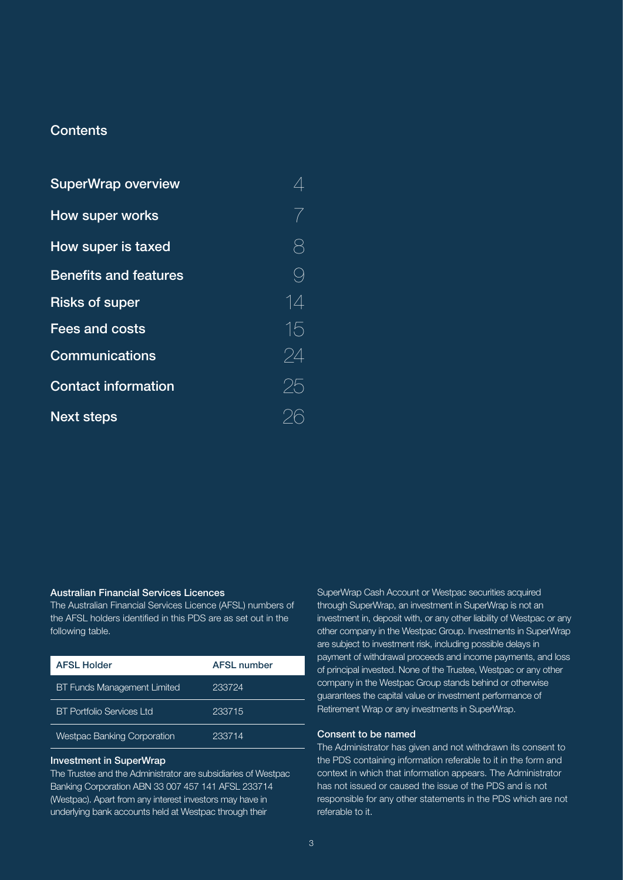#### **Contents**

| <b>SuperWrap overview</b>    |    |
|------------------------------|----|
| How super works              | 7  |
| <b>How super is taxed</b>    |    |
| <b>Benefits and features</b> | 9  |
| <b>Risks of super</b>        | 14 |
| <b>Fees and costs</b>        | 15 |
| <b>Communications</b>        | 24 |
| <b>Contact information</b>   | 25 |
| <b>Next steps</b>            |    |

#### Australian Financial Services Licences

The Australian Financial Services Licence (AFSL) numbers of the AFSL holders identified in this PDS are as set out in the following table.

| <b>AFSL Holder</b>                 | <b>AFSL number</b> |
|------------------------------------|--------------------|
| <b>BT Funds Management Limited</b> | 233724             |
| <b>BT Portfolio Services Ltd</b>   | 233715             |
| <b>Westpac Banking Corporation</b> | 233714             |

#### Investment in SuperWrap

The Trustee and the Administrator are subsidiaries of Westpac Banking Corporation ABN 33 007 457 141 AFSL 233714 (Westpac). Apart from any interest investors may have in underlying bank accounts held at Westpac through their

SuperWrap Cash Account or Westpac securities acquired through SuperWrap, an investment in SuperWrap is not an investment in, deposit with, or any other liability of Westpac or any other company in the Westpac Group. Investments in SuperWrap are subject to investment risk, including possible delays in payment of withdrawal proceeds and income payments, and loss of principal invested. None of the Trustee, Westpac or any other company in the Westpac Group stands behind or otherwise guarantees the capital value or investment performance of Retirement Wrap or any investments in SuperWrap.

#### Consent to be named

The Administrator has given and not withdrawn its consent to the PDS containing information referable to it in the form and context in which that information appears. The Administrator has not issued or caused the issue of the PDS and is not responsible for any other statements in the PDS which are not referable to it.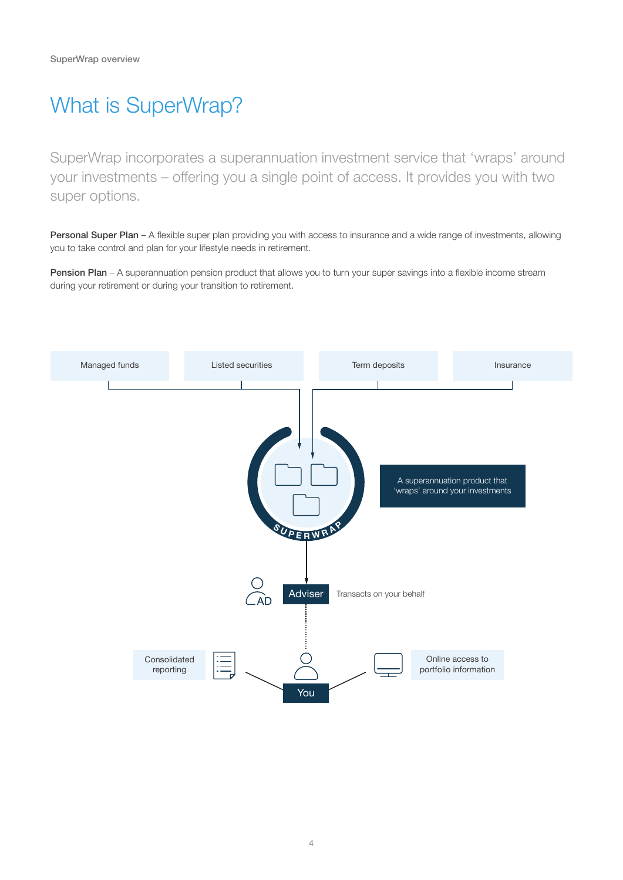## What is SuperWrap?

SuperWrap incorporates a superannuation investment service that 'wraps' around your investments – offering you a single point of access. It provides you with two super options.

Personal Super Plan – A flexible super plan providing you with access to insurance and a wide range of investments, allowing you to take control and plan for your lifestyle needs in retirement.

Pension Plan – A superannuation pension product that allows you to turn your super savings into a flexible income stream during your retirement or during your transition to retirement.

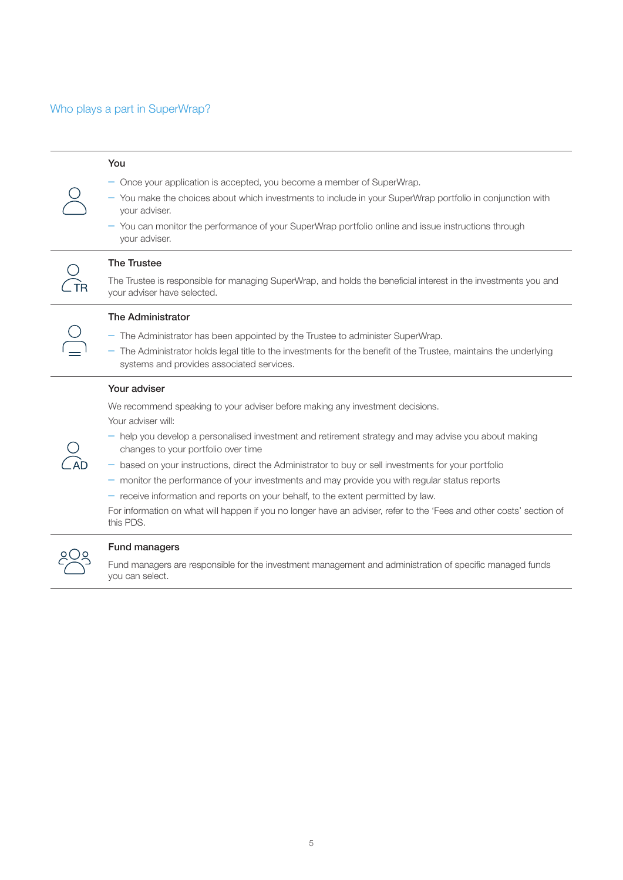### Who plays a part in SuperWrap?

| You                                                                                                                                                                                                                                                                                                                                                                                                                                                                                                                                                                                                                                                                                                     |
|---------------------------------------------------------------------------------------------------------------------------------------------------------------------------------------------------------------------------------------------------------------------------------------------------------------------------------------------------------------------------------------------------------------------------------------------------------------------------------------------------------------------------------------------------------------------------------------------------------------------------------------------------------------------------------------------------------|
| $-$ Once your application is accepted, you become a member of SuperWrap.<br>- You make the choices about which investments to include in your SuperWrap portfolio in conjunction with<br>your adviser.<br>- You can monitor the performance of your SuperWrap portfolio online and issue instructions through<br>your adviser.                                                                                                                                                                                                                                                                                                                                                                          |
| <b>The Trustee</b><br>The Trustee is responsible for managing SuperWrap, and holds the beneficial interest in the investments you and<br>your adviser have selected.                                                                                                                                                                                                                                                                                                                                                                                                                                                                                                                                    |
| <b>The Administrator</b><br>- The Administrator has been appointed by the Trustee to administer SuperWrap.<br>- The Administrator holds legal title to the investments for the benefit of the Trustee, maintains the underlying<br>systems and provides associated services.                                                                                                                                                                                                                                                                                                                                                                                                                            |
| Your adviser<br>We recommend speaking to your adviser before making any investment decisions.<br>Your adviser will:<br>- help you develop a personalised investment and retirement strategy and may advise you about making<br>changes to your portfolio over time<br>- based on your instructions, direct the Administrator to buy or sell investments for your portfolio<br>- monitor the performance of your investments and may provide you with regular status reports<br>$-$ receive information and reports on your behalf, to the extent permitted by law.<br>For information on what will happen if you no longer have an adviser, refer to the 'Fees and other costs' section of<br>this PDS. |
| <b>Fund managers</b><br>وامتسرنا امتوه وموجود ونائهم ومواجبه والمساحي والمستحدث والموادون والمستحدث والمستحدث والمستحدث والمستحدث والمستحدث                                                                                                                                                                                                                                                                                                                                                                                                                                                                                                                                                             |

Fund managers are responsible for the investment management and administration of specific managed funds you can select.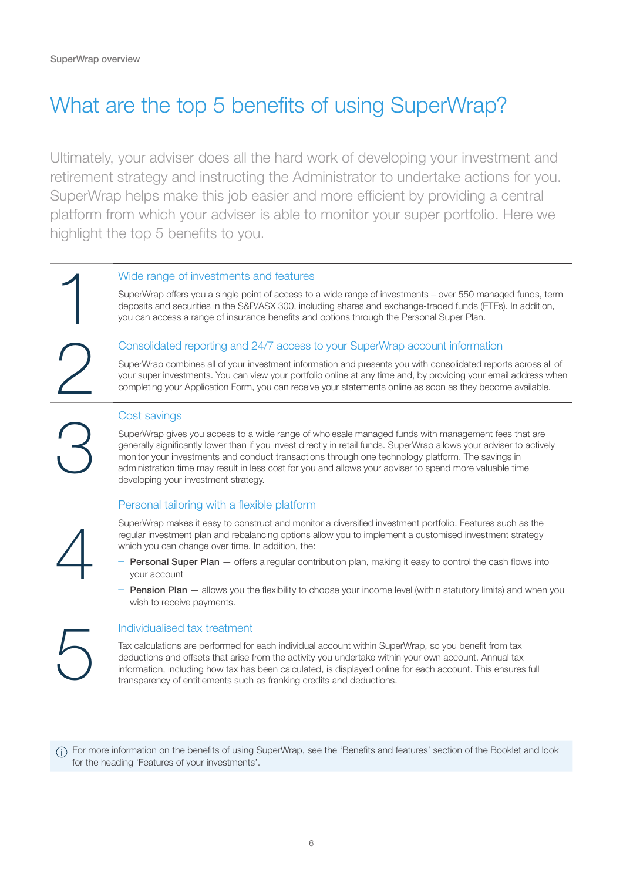## What are the top 5 benefits of using SuperWrap?

Ultimately, your adviser does all the hard work of developing your investment and retirement strategy and instructing the Administrator to undertake actions for you. SuperWrap helps make this job easier and more efficient by providing a central platform from which your adviser is able to monitor your super portfolio. Here we highlight the top 5 benefits to you.

#### Wide range of investments and features

SuperWrap offers you a single point of access to a wide range of investments – over 550 managed funds, term deposits and securities in the S&P/ASX 300, including shares and exchange-traded funds (ETFs). In addition, you can access a range of insurance benefits and options through the Personal Super Plan.

#### 2 Consolidated reporting and 24/7 access to your SuperWrap account information

SuperWrap combines all of your investment information and presents you with consolidated reports across all of your super investments. You can view your portfolio online at any time and, by providing your email address when completing your Application Form, you can receive your statements online as soon as they become available.

#### Cost savings

SuperWrap gives you access to a wide range of wholesale managed funds with management fees that are generally significantly lower than if you invest directly in retail funds. SuperWrap allows your adviser to actively monitor your investments and conduct transactions through one technology platform. The savings in administration time may result in less cost for you and allows your adviser to spend more valuable time developing your investment strategy.

#### Personal tailoring with a flexible platform

SuperWrap makes it easy to construct and monitor a diversified investment portfolio. Features such as the regular investment plan and rebalancing options allow you to implement a customised investment strategy which you can change over time. In addition, the:

- **Personal Super Plan** offers a regular contribution plan, making it easy to control the cash flows into your account
- Pension Plan allows you the flexibility to choose your income level (within statutory limits) and when you wish to receive payments.

4

3

Individualised tax treatment<br>Tax calculations are performed for<br>deductions and offsets that arise<br>information, including how tax has<br>transparency of entitlements such Tax calculations are performed for each individual account within SuperWrap, so you benefit from tax deductions and offsets that arise from the activity you undertake within your own account. Annual tax information, including how tax has been calculated, is displayed online for each account. This ensures full transparency of entitlements such as franking credits and deductions.

For more information on the benefits of using SuperWrap, see the 'Benefits and features' section of the Booklet and look for the heading 'Features of your investments'.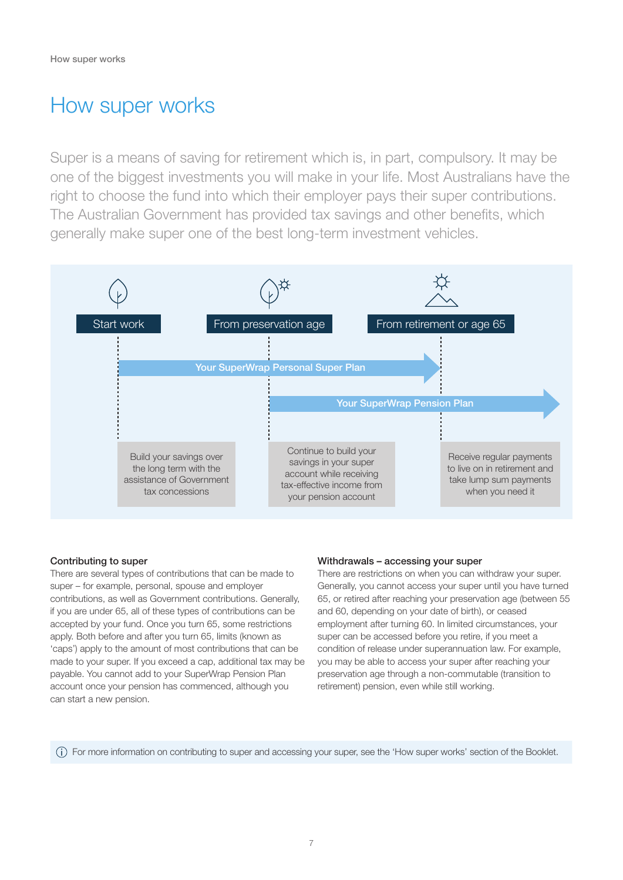### How super works

Super is a means of saving for retirement which is, in part, compulsory. It may be one of the biggest investments you will make in your life. Most Australians have the right to choose the fund into which their employer pays their super contributions. The Australian Government has provided tax savings and other benefits, which generally make super one of the best long-term investment vehicles.



#### Contributing to super

There are several types of contributions that can be made to super – for example, personal, spouse and employer contributions, as well as Government contributions. Generally, if you are under 65, all of these types of contributions can be accepted by your fund. Once you turn 65, some restrictions apply. Both before and after you turn 65, limits (known as 'caps') apply to the amount of most contributions that can be made to your super. If you exceed a cap, additional tax may be payable. You cannot add to your SuperWrap Pension Plan account once your pension has commenced, although you can start a new pension.

#### Withdrawals – accessing your super

There are restrictions on when you can withdraw your super. Generally, you cannot access your super until you have turned 65, or retired after reaching your preservation age (between 55 and 60, depending on your date of birth), or ceased employment after turning 60. In limited circumstances, your super can be accessed before you retire, if you meet a condition of release under superannuation law. For example, you may be able to access your super after reaching your preservation age through a non-commutable (transition to retirement) pension, even while still working.

For more information on contributing to super and accessing your super, see the 'How super works' section of the Booklet.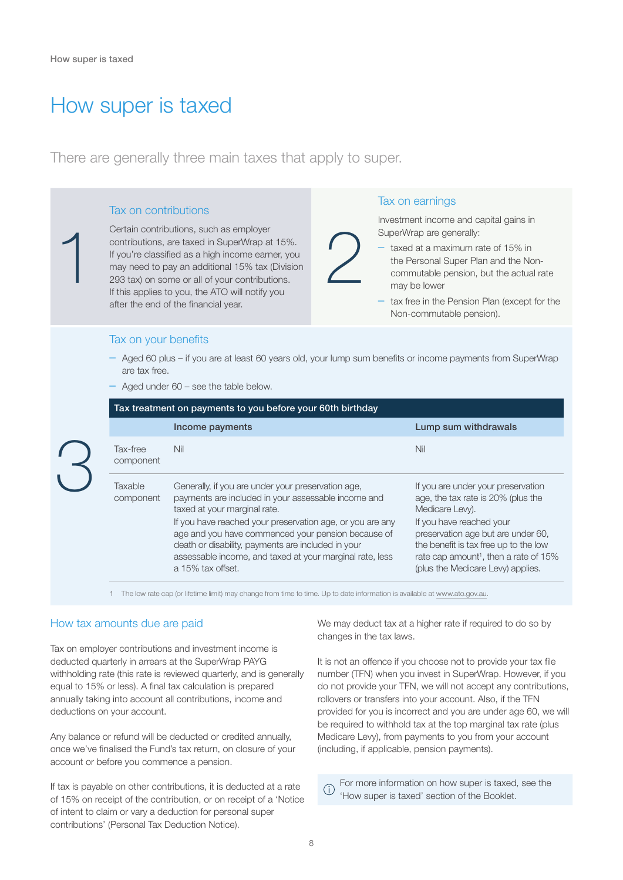1

### How super is taxed

There are generally three main taxes that apply to super.

#### Tax on contributions

Certain contributions, such as employer contributions, are taxed in SuperWrap at 15%. If you're classified as a high income earner, you may need to pay an additional 15% tax (Division 293 tax) on some or all of your contributions. If this applies to you, the ATO will notify you after the end of the financial year.

#### Tax on earnings

Investment income and capital gains in SuperWrap are generally:

- taxed at a maximum rate of 15% in the Personal Super Plan and the Noncommutable pension, but the actual rate may be lower
	- tax free in the Pension Plan (except for the Non-commutable pension).

#### Tax on your benefits

– Aged 60 plus – if you are at least 60 years old, your lump sum benefits or income payments from SuperWrap are tax free.

2

– Aged under 60 – see the table below.

| Tax treatment on payments to you before your 60th birthday |                                                                                                                                                                                                                                                                                                                                                                                                     |                                                                                                                                                                                                                                                                                                  |
|------------------------------------------------------------|-----------------------------------------------------------------------------------------------------------------------------------------------------------------------------------------------------------------------------------------------------------------------------------------------------------------------------------------------------------------------------------------------------|--------------------------------------------------------------------------------------------------------------------------------------------------------------------------------------------------------------------------------------------------------------------------------------------------|
|                                                            | Income payments                                                                                                                                                                                                                                                                                                                                                                                     | Lump sum withdrawals                                                                                                                                                                                                                                                                             |
| Tax-free<br>component                                      | Nil                                                                                                                                                                                                                                                                                                                                                                                                 | Nil                                                                                                                                                                                                                                                                                              |
| Taxable<br>component                                       | Generally, if you are under your preservation age,<br>payments are included in your assessable income and<br>taxed at your marginal rate.<br>If you have reached your preservation age, or you are any<br>age and you have commenced your pension because of<br>death or disability, payments are included in your<br>assessable income, and taxed at your marginal rate, less<br>a 15% tax offset. | If you are under your preservation<br>age, the tax rate is 20% (plus the<br>Medicare Levy).<br>If you have reached your<br>preservation age but are under 60,<br>the benefit is tax free up to the low<br>rate cap amount <sup>1</sup> , then a rate of 15%<br>(plus the Medicare Levy) applies. |

1 The low rate cap (or lifetime limit) may change from time to time. Up to date information is available at<www.ato.gov.au>.

#### How tax amounts due are paid

Tax on employer contributions and investment income is deducted quarterly in arrears at the SuperWrap PAYG withholding rate (this rate is reviewed quarterly, and is generally equal to 15% or less). A final tax calculation is prepared annually taking into account all contributions, income and deductions on your account.

Any balance or refund will be deducted or credited annually, once we've finalised the Fund's tax return, on closure of your account or before you commence a pension.

If tax is payable on other contributions, it is deducted at a rate of 15% on receipt of the contribution, or on receipt of a 'Notice of intent to claim or vary a deduction for personal super contributions' (Personal Tax Deduction Notice).

We may deduct tax at a higher rate if required to do so by changes in the tax laws.

It is not an offence if you choose not to provide your tax file number (TFN) when you invest in SuperWrap. However, if you do not provide your TFN, we will not accept any contributions, rollovers or transfers into your account. Also, if the TFN provided for you is incorrect and you are under age 60, we will be required to withhold tax at the top marginal tax rate (plus Medicare Levy), from payments to you from your account (including, if applicable, pension payments).

For more information on how super is taxed, see the  $\bigcap$ 'How super is taxed' section of the Booklet.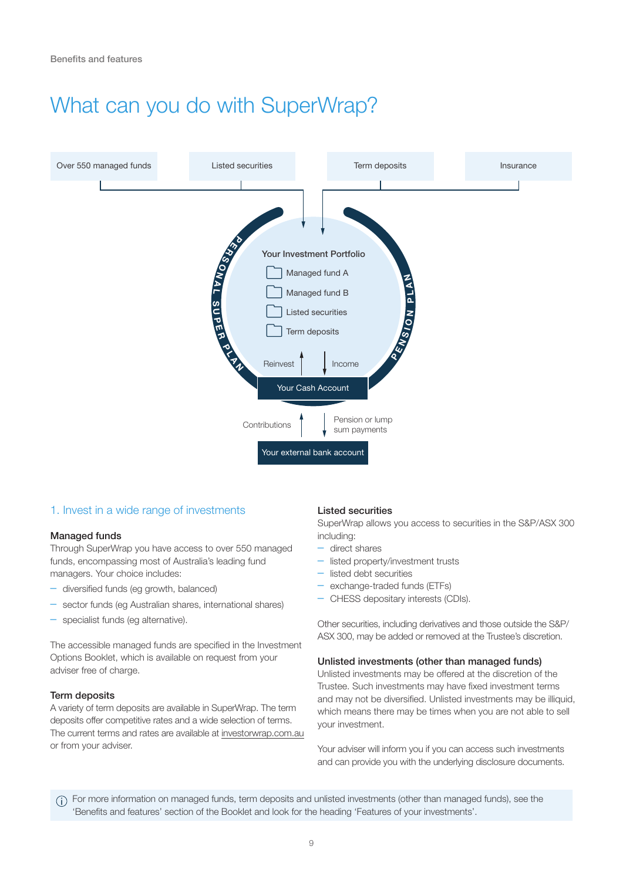## What can you do with SuperWrap?



#### 1. Invest in a wide range of investments

#### Managed funds

Through SuperWrap you have access to over 550 managed funds, encompassing most of Australia's leading fund managers. Your choice includes:

- diversified funds (eg growth, balanced)
- sector funds (eg Australian shares, international shares)
- specialist funds (eg alternative).

The accessible managed funds are specified in the Investment Options Booklet, which is available on request from your adviser free of charge.

#### Term deposits

A variety of term deposits are available in SuperWrap. The term deposits offer competitive rates and a wide selection of terms. The current terms and rates are available at <investorwrap.com.au> or from your adviser.

#### Listed securities

SuperWrap allows you access to securities in the S&P/ASX 300 including:

- direct shares
- listed property/investment trusts
- listed debt securities
- exchange-traded funds (ETFs)
- CHESS depositary interests (CDIs).

Other securities, including derivatives and those outside the S&P/ ASX 300, may be added or removed at the Trustee's discretion.

#### Unlisted investments (other than managed funds)

Unlisted investments may be offered at the discretion of the Trustee. Such investments may have fixed investment terms and may not be diversified. Unlisted investments may be illiquid, which means there may be times when you are not able to sell your investment.

Your adviser will inform you if you can access such investments and can provide you with the underlying disclosure documents.

For more information on managed funds, term deposits and unlisted investments (other than managed funds), see the 'Benefits and features' section of the Booklet and look for the heading 'Features of your investments'.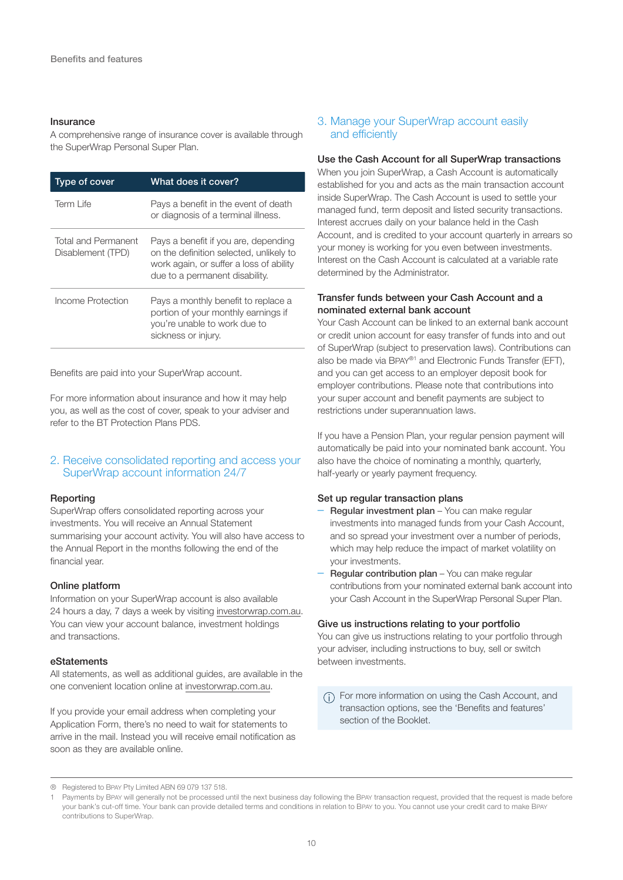#### Insurance

A comprehensive range of insurance cover is available through the SuperWrap Personal Super Plan.

| Type of cover                            | What does it cover?                                                                                                                                          |
|------------------------------------------|--------------------------------------------------------------------------------------------------------------------------------------------------------------|
| Term I ife                               | Pays a benefit in the event of death<br>or diagnosis of a terminal illness.                                                                                  |
| Total and Permanent<br>Disablement (TPD) | Pays a benefit if you are, depending<br>on the definition selected, unlikely to<br>work again, or suffer a loss of ability<br>due to a permanent disability. |
| Income Protection                        | Pays a monthly benefit to replace a<br>portion of your monthly earnings if<br>you're unable to work due to<br>sickness or injury.                            |

Benefits are paid into your SuperWrap account.

For more information about insurance and how it may help you, as well as the cost of cover, speak to your adviser and refer to the BT Protection Plans PDS.

#### 2. Receive consolidated reporting and access your SuperWrap account information 24/7

#### Reporting

SuperWrap offers consolidated reporting across your investments. You will receive an Annual Statement summarising your account activity. You will also have access to the Annual Report in the months following the end of the financial year.

#### Online platform

Information on your SuperWrap account is also available 24 hours a day, 7 days a week by visiting [investorwrap.com.au.](investorwrap.com.au) You can view your account balance, investment holdings and transactions.

#### eStatements

All statements, as well as additional guides, are available in the one convenient location online at<investorwrap.com.au>.

If you provide your email address when completing your Application Form, there's no need to wait for statements to arrive in the mail. Instead you will receive email notification as soon as they are available online.

#### 3. Manage your SuperWrap account easily and efficiently

#### Use the Cash Account for all SuperWrap transactions

When you join SuperWrap, a Cash Account is automatically established for you and acts as the main transaction account inside SuperWrap. The Cash Account is used to settle your managed fund, term deposit and listed security transactions. Interest accrues daily on your balance held in the Cash Account, and is credited to your account quarterly in arrears so your money is working for you even between investments. Interest on the Cash Account is calculated at a variable rate determined by the Administrator.

#### Transfer funds between your Cash Account and a nominated external bank account

Your Cash Account can be linked to an external bank account or credit union account for easy transfer of funds into and out of SuperWrap (subject to preservation laws). Contributions can also be made via BPAY®1 and Electronic Funds Transfer (EFT), and you can get access to an employer deposit book for employer contributions. Please note that contributions into your super account and benefit payments are subject to restrictions under superannuation laws.

If you have a Pension Plan, your regular pension payment will automatically be paid into your nominated bank account. You also have the choice of nominating a monthly, quarterly, half-yearly or yearly payment frequency.

#### Set up regular transaction plans

- Regular investment plan You can make regular investments into managed funds from your Cash Account, and so spread your investment over a number of periods, which may help reduce the impact of market volatility on your investments.
- **Regular contribution plan** You can make regular contributions from your nominated external bank account into your Cash Account in the SuperWrap Personal Super Plan.

#### Give us instructions relating to your portfolio

You can give us instructions relating to your portfolio through your adviser, including instructions to buy, sell or switch between investments.

(i) For more information on using the Cash Account, and transaction options, see the 'Benefits and features' section of the Booklet.

<sup>®</sup> Registered to BPAY Pty Limited ABN 69 079 137 518.

Payments by BPAY will generally not be processed until the next business day following the BPAY transaction request, provided that the request is made before your bank's cut-off time. Your bank can provide detailed terms and conditions in relation to BPAY to you. You cannot use your credit card to make BPAY contributions to SuperWrap.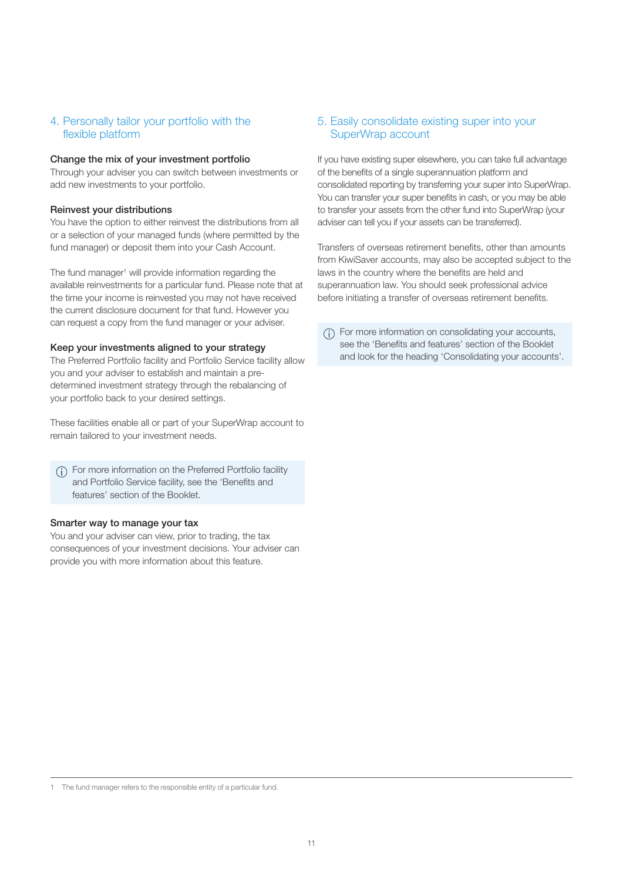#### 4. Personally tailor your portfolio with the flexible platform

#### Change the mix of your investment portfolio

Through your adviser you can switch between investments or add new investments to your portfolio.

#### Reinvest your distributions

You have the option to either reinvest the distributions from all or a selection of your managed funds (where permitted by the fund manager) or deposit them into your Cash Account.

The fund manager<sup>1</sup> will provide information regarding the available reinvestments for a particular fund. Please note that at the time your income is reinvested you may not have received the current disclosure document for that fund. However you can request a copy from the fund manager or your adviser.

#### Keep your investments aligned to your strategy

The Preferred Portfolio facility and Portfolio Service facility allow you and your adviser to establish and maintain a predetermined investment strategy through the rebalancing of your portfolio back to your desired settings.

These facilities enable all or part of your SuperWrap account to remain tailored to your investment needs.

For more information on the Preferred Portfolio facility and Portfolio Service facility, see the 'Benefits and features' section of the Booklet.

#### Smarter way to manage your tax

You and your adviser can view, prior to trading, the tax consequences of your investment decisions. Your adviser can provide you with more information about this feature.

#### 5. Easily consolidate existing super into your SuperWrap account

If you have existing super elsewhere, you can take full advantage of the benefits of a single superannuation platform and consolidated reporting by transferring your super into SuperWrap. You can transfer your super benefits in cash, or you may be able to transfer your assets from the other fund into SuperWrap (your adviser can tell you if your assets can be transferred).

Transfers of overseas retirement benefits, other than amounts from KiwiSaver accounts, may also be accepted subject to the laws in the country where the benefits are held and superannuation law. You should seek professional advice before initiating a transfer of overseas retirement benefits.

For more information on consolidating your accounts, see the 'Benefits and features' section of the Booklet and look for the heading 'Consolidating your accounts'.

1 The fund manager refers to the responsible entity of a particular fund.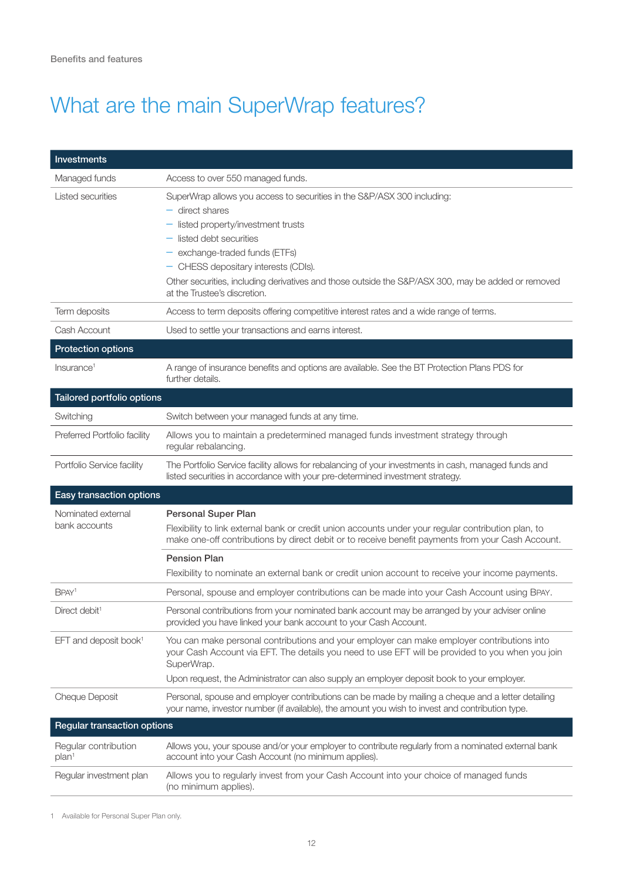# What are the main SuperWrap features?

| <b>Investments</b>                        |                                                                                                                                                                                                                                                                                                                                                                                   |
|-------------------------------------------|-----------------------------------------------------------------------------------------------------------------------------------------------------------------------------------------------------------------------------------------------------------------------------------------------------------------------------------------------------------------------------------|
| Managed funds                             | Access to over 550 managed funds.                                                                                                                                                                                                                                                                                                                                                 |
| Listed securities                         | SuperWrap allows you access to securities in the S&P/ASX 300 including:<br>$-$ direct shares<br>- listed property/investment trusts<br>$-$ listed debt securities<br>- exchange-traded funds (ETFs)<br>- CHESS depositary interests (CDIs).<br>Other securities, including derivatives and those outside the S&P/ASX 300, may be added or removed<br>at the Trustee's discretion. |
| Term deposits                             | Access to term deposits offering competitive interest rates and a wide range of terms.                                                                                                                                                                                                                                                                                            |
| Cash Account                              | Used to settle your transactions and earns interest.                                                                                                                                                                                                                                                                                                                              |
| <b>Protection options</b>                 |                                                                                                                                                                                                                                                                                                                                                                                   |
| Insurance <sup>1</sup>                    | A range of insurance benefits and options are available. See the BT Protection Plans PDS for<br>further details.                                                                                                                                                                                                                                                                  |
| Tailored portfolio options                |                                                                                                                                                                                                                                                                                                                                                                                   |
| Switching                                 | Switch between your managed funds at any time.                                                                                                                                                                                                                                                                                                                                    |
| Preferred Portfolio facility              | Allows you to maintain a predetermined managed funds investment strategy through<br>regular rebalancing.                                                                                                                                                                                                                                                                          |
| Portfolio Service facility                | The Portfolio Service facility allows for rebalancing of your investments in cash, managed funds and<br>listed securities in accordance with your pre-determined investment strategy.                                                                                                                                                                                             |
| Easy transaction options                  |                                                                                                                                                                                                                                                                                                                                                                                   |
| Nominated external<br>bank accounts       | <b>Personal Super Plan</b><br>Flexibility to link external bank or credit union accounts under your regular contribution plan, to<br>make one-off contributions by direct debit or to receive benefit payments from your Cash Account.                                                                                                                                            |
|                                           | <b>Pension Plan</b><br>Flexibility to nominate an external bank or credit union account to receive your income payments.                                                                                                                                                                                                                                                          |
| BPAY <sup>1</sup>                         | Personal, spouse and employer contributions can be made into your Cash Account using BPAY.                                                                                                                                                                                                                                                                                        |
| Direct debit <sup>1</sup>                 | Personal contributions from your nominated bank account may be arranged by your adviser online<br>provided you have linked your bank account to your Cash Account.                                                                                                                                                                                                                |
| EFT and deposit book <sup>1</sup>         | You can make personal contributions and your employer can make employer contributions into<br>your Cash Account via EFT. The details you need to use EFT will be provided to you when you join<br>SuperWrap.<br>Upon request, the Administrator can also supply an employer deposit book to your employer.                                                                        |
| Cheque Deposit                            | Personal, spouse and employer contributions can be made by mailing a cheque and a letter detailing<br>your name, investor number (if available), the amount you wish to invest and contribution type.                                                                                                                                                                             |
| <b>Regular transaction options</b>        |                                                                                                                                                                                                                                                                                                                                                                                   |
| Regular contribution<br>plan <sup>1</sup> | Allows you, your spouse and/or your employer to contribute regularly from a nominated external bank<br>account into your Cash Account (no minimum applies).                                                                                                                                                                                                                       |
| Regular investment plan                   | Allows you to regularly invest from your Cash Account into your choice of managed funds<br>(no minimum applies).                                                                                                                                                                                                                                                                  |

1 Available for Personal Super Plan only.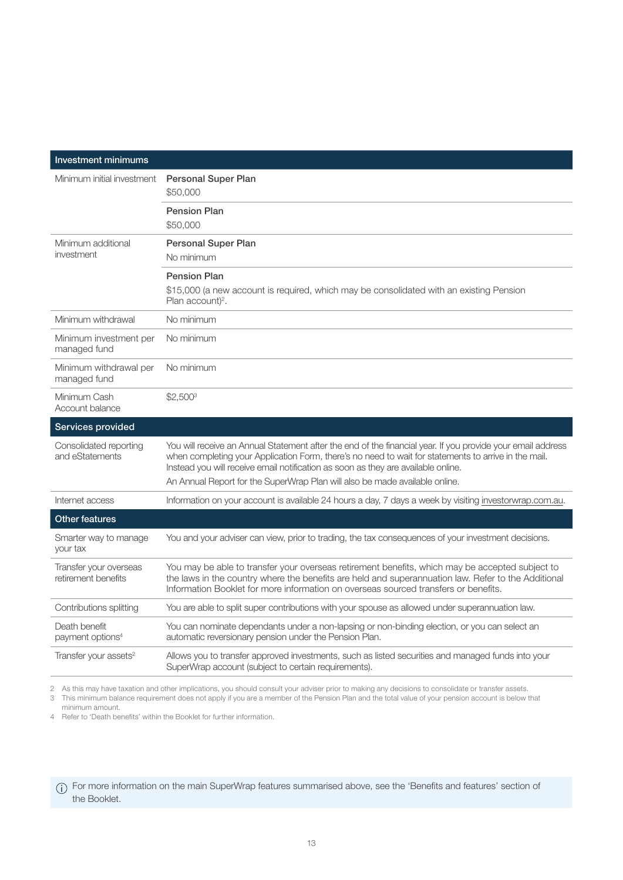| <b>Investment minimums</b>                    |                                                                                                                                                                                                                                                                                                          |
|-----------------------------------------------|----------------------------------------------------------------------------------------------------------------------------------------------------------------------------------------------------------------------------------------------------------------------------------------------------------|
| Minimum initial investment                    | <b>Personal Super Plan</b><br>\$50,000                                                                                                                                                                                                                                                                   |
|                                               | <b>Pension Plan</b><br>\$50,000                                                                                                                                                                                                                                                                          |
| Minimum additional<br>investment              | <b>Personal Super Plan</b><br>No minimum                                                                                                                                                                                                                                                                 |
|                                               | <b>Pension Plan</b><br>\$15,000 (a new account is required, which may be consolidated with an existing Pension<br>Plan account) <sup>2</sup> .                                                                                                                                                           |
| Minimum withdrawal                            | No minimum                                                                                                                                                                                                                                                                                               |
| Minimum investment per<br>managed fund        | No minimum                                                                                                                                                                                                                                                                                               |
| Minimum withdrawal per<br>managed fund        | No minimum                                                                                                                                                                                                                                                                                               |
| Minimum Cash<br>Account balance               | $$2,500^3$                                                                                                                                                                                                                                                                                               |
| Services provided                             |                                                                                                                                                                                                                                                                                                          |
| Consolidated reporting<br>and eStatements     | You will receive an Annual Statement after the end of the financial year. If you provide your email address<br>when completing your Application Form, there's no need to wait for statements to arrive in the mail.<br>Instead you will receive email notification as soon as they are available online. |
|                                               | An Annual Report for the SuperWrap Plan will also be made available online.                                                                                                                                                                                                                              |
| Internet access                               | Information on your account is available 24 hours a day, 7 days a week by visiting investorwrap.com.au.                                                                                                                                                                                                  |
| <b>Other features</b>                         |                                                                                                                                                                                                                                                                                                          |
| Smarter way to manage<br>your tax             | You and your adviser can view, prior to trading, the tax consequences of your investment decisions.                                                                                                                                                                                                      |
| Transfer your overseas<br>retirement benefits | You may be able to transfer your overseas retirement benefits, which may be accepted subject to<br>the laws in the country where the benefits are held and superannuation law. Refer to the Additional<br>Information Booklet for more information on overseas sourced transfers or benefits.            |
| Contributions splitting                       | You are able to split super contributions with your spouse as allowed under superannuation law.                                                                                                                                                                                                          |
| Death benefit<br>payment options <sup>4</sup> | You can nominate dependants under a non-lapsing or non-binding election, or you can select an<br>automatic reversionary pension under the Pension Plan.                                                                                                                                                  |
| Transfer your assets <sup>2</sup>             | Allows you to transfer approved investments, such as listed securities and managed funds into your<br>SuperWrap account (subject to certain requirements).                                                                                                                                               |

2 As this may have taxation and other implications, you should consult your adviser prior to making any decisions to consolidate or transfer assets.

3 This minimum balance requirement does not apply if you are a member of the Pension Plan and the total value of your pension account is below that minimum amount.

4 Refer to 'Death benefits' within the Booklet for further information.

For more information on the main SuperWrap features summarised above, see the 'Benefits and features' section of the Booklet.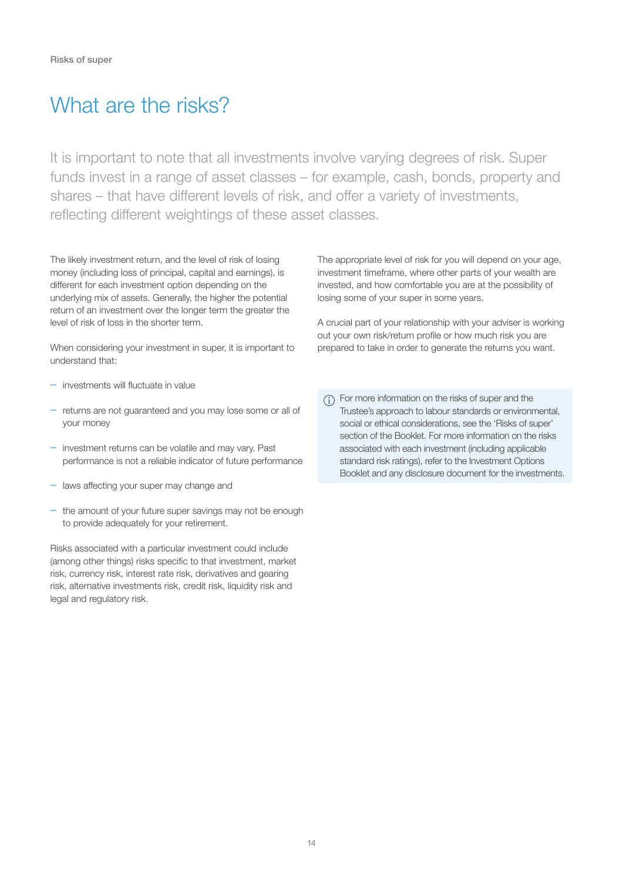### What are the risks?

It is important to note that all investments involve varying degrees of risk. Super funds invest in a range of asset classes – for example, cash, bonds, property and shares – that have different levels of risk, and offer a variety of investments, reflecting different weightings of these asset classes.

The likely investment return, and the level of risk of losing money (including loss of principal, capital and earnings), is different for each investment option depending on the underlying mix of assets. Generally, the higher the potential return of an investment over the longer term the greater the level of risk of loss in the shorter term.

When considering your investment in super, it is important to understand that:

- investments will fluctuate in value
- returns are not guaranteed and you may lose some or all of your money
- investment returns can be volatile and may vary. Past performance is not a reliable indicator of future performance
- laws affecting your super may change and
- the amount of your future super savings may not be enough to provide adequately for your retirement.

Risks associated with a particular investment could include (among other things) risks specific to that investment, market risk, currency risk, interest rate risk, derivatives and gearing risk, alternative investments risk, credit risk, liquidity risk and legal and regulatory risk.

The appropriate level of risk for you will depend on your age, investment timeframe, where other parts of your wealth are invested, and how comfortable you are at the possibility of losing some of your super in some years.

A crucial part of your relationship with your adviser is working out your own risk/return profile or how much risk you are prepared to take in order to generate the returns you want.

For more information on the risks of super and the Trustee's approach to labour standards or environmental, social or ethical considerations, see the 'Risks of super' section of the Booklet. For more information on the risks associated with each investment (including applicable standard risk ratings), refer to the Investment Options Booklet and any disclosure document for the investments.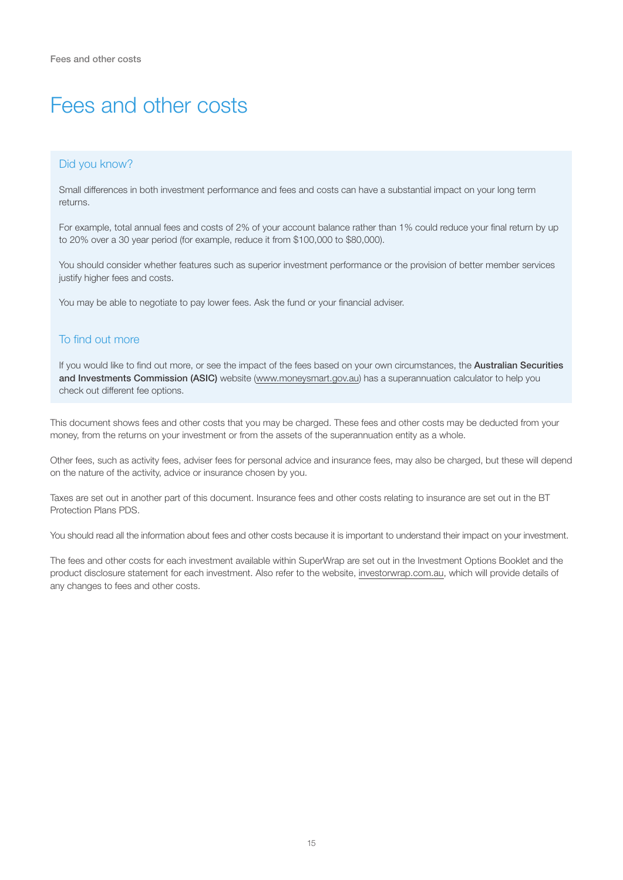### Fees and other costs

#### Did you know?

Small differences in both investment performance and fees and costs can have a substantial impact on your long term returns.

For example, total annual fees and costs of 2% of your account balance rather than 1% could reduce your final return by up to 20% over a 30 year period (for example, reduce it from \$100,000 to \$80,000).

You should consider whether features such as superior investment performance or the provision of better member services justify higher fees and costs.

You may be able to negotiate to pay lower fees. Ask the fund or your financial adviser.

#### To find out more

If you would like to find out more, or see the impact of the fees based on your own circumstances, the Australian Securities and Investments Commission (ASIC) website (<www.moneysmart.gov.au>) has a superannuation calculator to help you check out different fee options.

This document shows fees and other costs that you may be charged. These fees and other costs may be deducted from your money, from the returns on your investment or from the assets of the superannuation entity as a whole.

Other fees, such as activity fees, adviser fees for personal advice and insurance fees, may also be charged, but these will depend on the nature of the activity, advice or insurance chosen by you.

Taxes are set out in another part of this document. Insurance fees and other costs relating to insurance are set out in the BT Protection Plans PDS.

You should read all the information about fees and other costs because it is important to understand their impact on your investment.

The fees and other costs for each investment available within SuperWrap are set out in the Investment Options Booklet and the product disclosure statement for each investment. Also refer to the website, <investorwrap.com.au>, which will provide details of any changes to fees and other costs.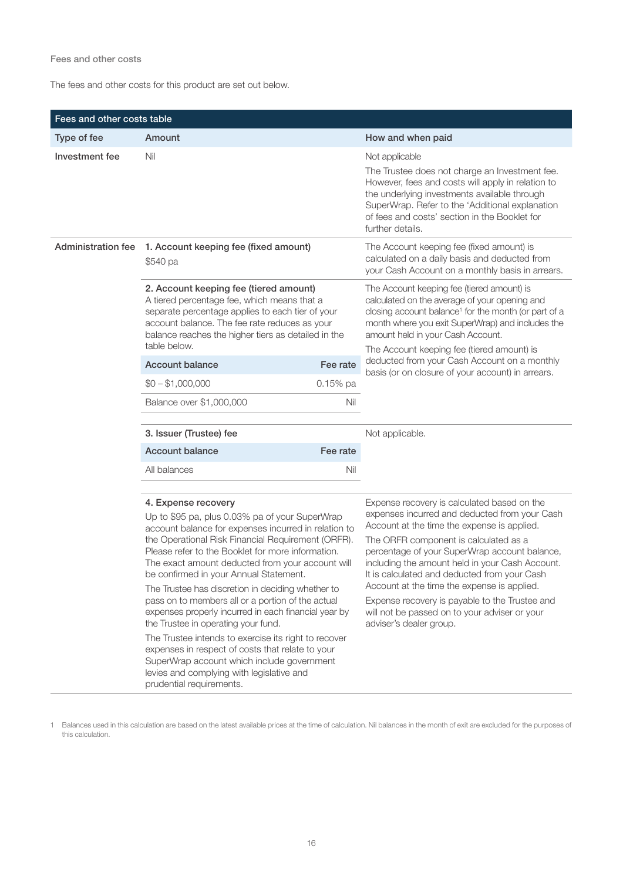#### Fees and other costs

The fees and other costs for this product are set out below.

| Fees and other costs table |                                                                                                                                                                                                                                                                                                                                                                                                                                                                                                                                                                                                         |            |                                                                                                                                                                                                                                                                                                                                                                                                                                                                                                                       |
|----------------------------|---------------------------------------------------------------------------------------------------------------------------------------------------------------------------------------------------------------------------------------------------------------------------------------------------------------------------------------------------------------------------------------------------------------------------------------------------------------------------------------------------------------------------------------------------------------------------------------------------------|------------|-----------------------------------------------------------------------------------------------------------------------------------------------------------------------------------------------------------------------------------------------------------------------------------------------------------------------------------------------------------------------------------------------------------------------------------------------------------------------------------------------------------------------|
| Type of fee                | Amount                                                                                                                                                                                                                                                                                                                                                                                                                                                                                                                                                                                                  |            | How and when paid                                                                                                                                                                                                                                                                                                                                                                                                                                                                                                     |
| Investment fee             | Nil                                                                                                                                                                                                                                                                                                                                                                                                                                                                                                                                                                                                     |            | Not applicable<br>The Trustee does not charge an Investment fee.<br>However, fees and costs will apply in relation to<br>the underlying investments available through<br>SuperWrap. Refer to the 'Additional explanation<br>of fees and costs' section in the Booklet for<br>further details.                                                                                                                                                                                                                         |
|                            | Administration fee 1. Account keeping fee (fixed amount)<br>\$540 pa                                                                                                                                                                                                                                                                                                                                                                                                                                                                                                                                    |            | The Account keeping fee (fixed amount) is<br>calculated on a daily basis and deducted from<br>your Cash Account on a monthly basis in arrears.                                                                                                                                                                                                                                                                                                                                                                        |
|                            | 2. Account keeping fee (tiered amount)<br>A tiered percentage fee, which means that a<br>separate percentage applies to each tier of your<br>account balance. The fee rate reduces as your<br>balance reaches the higher tiers as detailed in the<br>table below.                                                                                                                                                                                                                                                                                                                                       |            | The Account keeping fee (tiered amount) is<br>calculated on the average of your opening and<br>closing account balance <sup>1</sup> for the month (or part of a<br>month where you exit SuperWrap) and includes the<br>amount held in your Cash Account.<br>The Account keeping fee (tiered amount) is                                                                                                                                                                                                                |
|                            | <b>Account balance</b>                                                                                                                                                                                                                                                                                                                                                                                                                                                                                                                                                                                  | Fee rate   | deducted from your Cash Account on a monthly<br>basis (or on closure of your account) in arrears.                                                                                                                                                                                                                                                                                                                                                                                                                     |
|                            | $$0 - $1,000,000$                                                                                                                                                                                                                                                                                                                                                                                                                                                                                                                                                                                       | $0.15%$ pa |                                                                                                                                                                                                                                                                                                                                                                                                                                                                                                                       |
|                            | Balance over \$1,000,000                                                                                                                                                                                                                                                                                                                                                                                                                                                                                                                                                                                | Nil        |                                                                                                                                                                                                                                                                                                                                                                                                                                                                                                                       |
|                            | 3. Issuer (Trustee) fee                                                                                                                                                                                                                                                                                                                                                                                                                                                                                                                                                                                 |            | Not applicable.                                                                                                                                                                                                                                                                                                                                                                                                                                                                                                       |
|                            | <b>Account balance</b>                                                                                                                                                                                                                                                                                                                                                                                                                                                                                                                                                                                  | Fee rate   |                                                                                                                                                                                                                                                                                                                                                                                                                                                                                                                       |
|                            | All balances                                                                                                                                                                                                                                                                                                                                                                                                                                                                                                                                                                                            | Nil        |                                                                                                                                                                                                                                                                                                                                                                                                                                                                                                                       |
|                            | 4. Expense recovery<br>Up to \$95 pa, plus 0.03% pa of your SuperWrap<br>account balance for expenses incurred in relation to<br>the Operational Risk Financial Requirement (ORFR).<br>Please refer to the Booklet for more information.<br>The exact amount deducted from your account will<br>be confirmed in your Annual Statement.<br>The Trustee has discretion in deciding whether to<br>pass on to members all or a portion of the actual<br>expenses properly incurred in each financial year by<br>the Trustee in operating your fund.<br>The Trustee intends to exercise its right to recover |            | Expense recovery is calculated based on the<br>expenses incurred and deducted from your Cash<br>Account at the time the expense is applied.<br>The ORFR component is calculated as a<br>percentage of your SuperWrap account balance,<br>including the amount held in your Cash Account.<br>It is calculated and deducted from your Cash<br>Account at the time the expense is applied.<br>Expense recovery is payable to the Trustee and<br>will not be passed on to your adviser or your<br>adviser's dealer group. |

1 Balances used in this calculation are based on the latest available prices at the time of calculation. Nil balances in the month of exit are excluded for the purposes of this calculation.

expenses in respect of costs that relate to your SuperWrap account which include government levies and complying with legislative and

prudential requirements.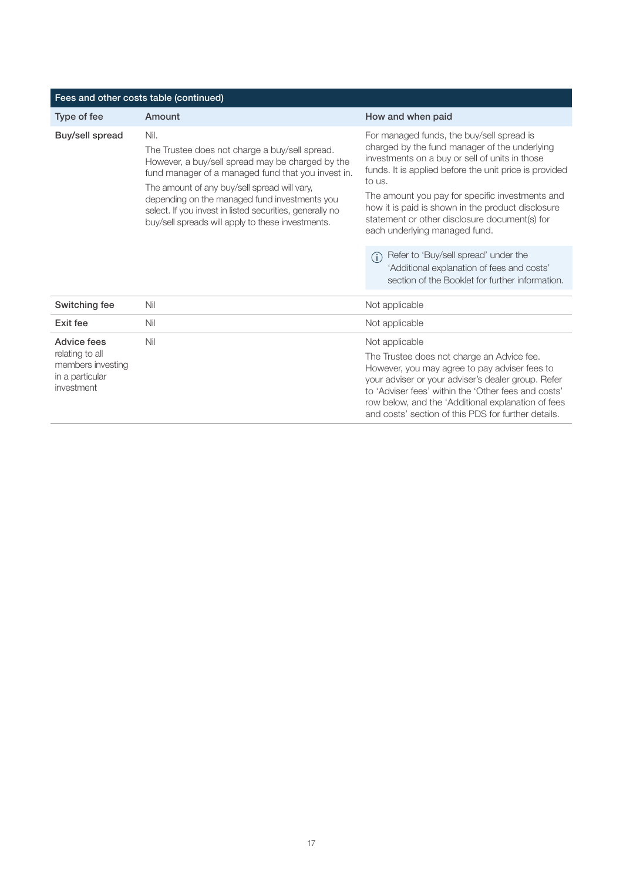| Fees and other costs table (continued)                                               |                                                                                                                                                                                                                                                                                                                                                                                    |                                                                                                                                                                                                                                                                                                                                                                                                            |  |
|--------------------------------------------------------------------------------------|------------------------------------------------------------------------------------------------------------------------------------------------------------------------------------------------------------------------------------------------------------------------------------------------------------------------------------------------------------------------------------|------------------------------------------------------------------------------------------------------------------------------------------------------------------------------------------------------------------------------------------------------------------------------------------------------------------------------------------------------------------------------------------------------------|--|
| Type of fee                                                                          | Amount                                                                                                                                                                                                                                                                                                                                                                             | How and when paid                                                                                                                                                                                                                                                                                                                                                                                          |  |
| Buy/sell spread                                                                      | Nil.<br>The Trustee does not charge a buy/sell spread.<br>However, a buy/sell spread may be charged by the<br>fund manager of a managed fund that you invest in.<br>The amount of any buy/sell spread will vary,<br>depending on the managed fund investments you<br>select. If you invest in listed securities, generally no<br>buy/sell spreads will apply to these investments. | For managed funds, the buy/sell spread is<br>charged by the fund manager of the underlying<br>investments on a buy or sell of units in those<br>funds. It is applied before the unit price is provided<br>to us.<br>The amount you pay for specific investments and<br>how it is paid is shown in the product disclosure<br>statement or other disclosure document(s) for<br>each underlying managed fund. |  |
|                                                                                      |                                                                                                                                                                                                                                                                                                                                                                                    | Refer to 'Buy/sell spread' under the<br>(i)<br>'Additional explanation of fees and costs'<br>section of the Booklet for further information.                                                                                                                                                                                                                                                               |  |
| Switching fee                                                                        | Nil                                                                                                                                                                                                                                                                                                                                                                                | Not applicable                                                                                                                                                                                                                                                                                                                                                                                             |  |
| Exit fee                                                                             | Nil                                                                                                                                                                                                                                                                                                                                                                                | Not applicable                                                                                                                                                                                                                                                                                                                                                                                             |  |
| Advice fees<br>relating to all<br>members investing<br>in a particular<br>investment | Nil                                                                                                                                                                                                                                                                                                                                                                                | Not applicable                                                                                                                                                                                                                                                                                                                                                                                             |  |
|                                                                                      |                                                                                                                                                                                                                                                                                                                                                                                    | The Trustee does not charge an Advice fee.<br>However, you may agree to pay adviser fees to<br>your adviser or your adviser's dealer group. Refer<br>to 'Adviser fees' within the 'Other fees and costs'<br>row below, and the 'Additional explanation of fees<br>and costs' section of this PDS for further details.                                                                                      |  |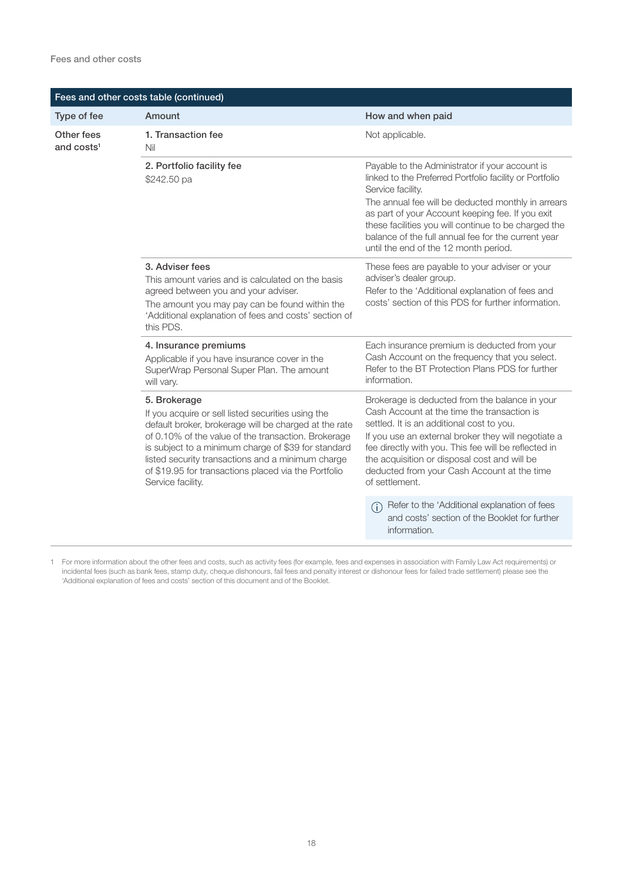| Fees and other costs table (continued) |                                                                                                                                                                                                                                                                                                                                                                             |                                                                                                                                                                                                                                                                                                                                                                                                   |  |
|----------------------------------------|-----------------------------------------------------------------------------------------------------------------------------------------------------------------------------------------------------------------------------------------------------------------------------------------------------------------------------------------------------------------------------|---------------------------------------------------------------------------------------------------------------------------------------------------------------------------------------------------------------------------------------------------------------------------------------------------------------------------------------------------------------------------------------------------|--|
| Type of fee                            | Amount                                                                                                                                                                                                                                                                                                                                                                      | How and when paid                                                                                                                                                                                                                                                                                                                                                                                 |  |
| Other fees<br>and costs <sup>1</sup>   | 1. Transaction fee<br>Nil                                                                                                                                                                                                                                                                                                                                                   | Not applicable.                                                                                                                                                                                                                                                                                                                                                                                   |  |
|                                        | 2. Portfolio facility fee<br>\$242.50 pa                                                                                                                                                                                                                                                                                                                                    | Payable to the Administrator if your account is<br>linked to the Preferred Portfolio facility or Portfolio<br>Service facility.<br>The annual fee will be deducted monthly in arrears<br>as part of your Account keeping fee. If you exit<br>these facilities you will continue to be charged the<br>balance of the full annual fee for the current year<br>until the end of the 12 month period. |  |
|                                        | 3. Adviser fees<br>This amount varies and is calculated on the basis<br>agreed between you and your adviser.<br>The amount you may pay can be found within the<br>'Additional explanation of fees and costs' section of<br>this PDS.                                                                                                                                        | These fees are payable to your adviser or your<br>adviser's dealer group.<br>Refer to the 'Additional explanation of fees and<br>costs' section of this PDS for further information.                                                                                                                                                                                                              |  |
|                                        | 4. Insurance premiums<br>Applicable if you have insurance cover in the<br>SuperWrap Personal Super Plan. The amount<br>will vary.                                                                                                                                                                                                                                           | Each insurance premium is deducted from your<br>Cash Account on the frequency that you select.<br>Refer to the BT Protection Plans PDS for further<br>information.                                                                                                                                                                                                                                |  |
|                                        | 5. Brokerage<br>If you acquire or sell listed securities using the<br>default broker, brokerage will be charged at the rate<br>of 0.10% of the value of the transaction. Brokerage<br>is subject to a minimum charge of \$39 for standard<br>listed security transactions and a minimum charge<br>of \$19.95 for transactions placed via the Portfolio<br>Service facility. | Brokerage is deducted from the balance in your<br>Cash Account at the time the transaction is<br>settled. It is an additional cost to you.<br>If you use an external broker they will negotiate a<br>fee directly with you. This fee will be reflected in<br>the acquisition or disposal cost and will be<br>deducted from your Cash Account at the time<br>of settlement.                        |  |
|                                        |                                                                                                                                                                                                                                                                                                                                                                             | Refer to the 'Additional explanation of fees<br>$\bigcap$<br>and costs' section of the Booklet for further<br>information.                                                                                                                                                                                                                                                                        |  |

1 For more information about the other fees and costs, such as activity fees (for example, fees and expenses in association with Family Law Act requirements) or incidental fees (such as bank fees, stamp duty, cheque dishonours, fail fees and penalty interest or dishonour fees for failed trade settlement) please see the 'Additional explanation of fees and costs' section of this document and of the Booklet.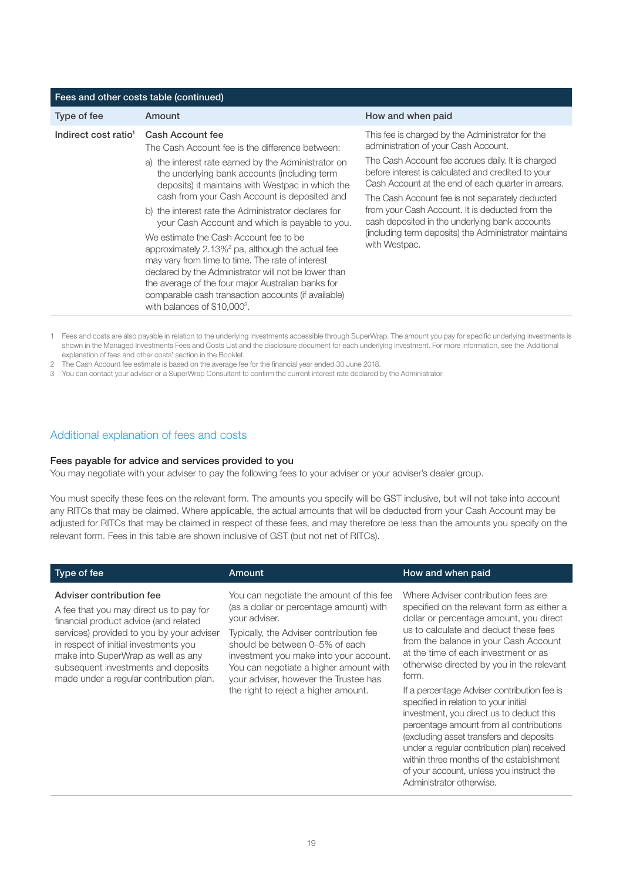| Fees and other costs table (continued)                                                                                                                                                                                                                                                                                                                                      |                                                                                                                                                                |  |  |
|-----------------------------------------------------------------------------------------------------------------------------------------------------------------------------------------------------------------------------------------------------------------------------------------------------------------------------------------------------------------------------|----------------------------------------------------------------------------------------------------------------------------------------------------------------|--|--|
| Amount                                                                                                                                                                                                                                                                                                                                                                      | How and when paid                                                                                                                                              |  |  |
| Cash Account fee<br>The Cash Account fee is the difference between:                                                                                                                                                                                                                                                                                                         | This fee is charged by the Administrator for the<br>administration of your Cash Account.                                                                       |  |  |
| a) the interest rate earned by the Administrator on<br>the underlying bank accounts (including term<br>deposits) it maintains with Westpac in which the                                                                                                                                                                                                                     | The Cash Account fee accrues daily. It is charged<br>before interest is calculated and credited to your<br>Cash Account at the end of each quarter in arrears. |  |  |
| b) the interest rate the Administrator declares for<br>your Cash Account and which is payable to you.                                                                                                                                                                                                                                                                       | The Cash Account fee is not separately deducted<br>from your Cash Account. It is deducted from the<br>cash deposited in the underlying bank accounts           |  |  |
| We estimate the Cash Account fee to be<br>approximately 2.13% <sup>2</sup> pa, although the actual fee<br>may vary from time to time. The rate of interest<br>declared by the Administrator will not be lower than<br>the average of the four major Australian banks for<br>comparable cash transaction accounts (if available)<br>with balances of \$10,000 <sup>3</sup> . | (including term deposits) the Administrator maintains<br>with Westpac.                                                                                         |  |  |
|                                                                                                                                                                                                                                                                                                                                                                             | cash from your Cash Account is deposited and                                                                                                                   |  |  |

1 Fees and costs are also payable in relation to the underlying investments accessible through SuperWrap. The amount you pay for specific underlying investments is shown in the Managed Investments Fees and Costs List and the disclosure document for each underlying investment. For more information, see the 'Additional explanation of fees and other costs' section in the Booklet.

2 The Cash Account fee estimate is based on the average fee for the financial year ended 30 June 2018.

3 You can contact your adviser or a SuperWrap Consultant to confirm the current interest rate declared by the Administrator.

#### Additional explanation of fees and costs

#### Fees payable for advice and services provided to you

You may negotiate with your adviser to pay the following fees to your adviser or your adviser's dealer group.

You must specify these fees on the relevant form. The amounts you specify will be GST inclusive, but will not take into account any RITCs that may be claimed. Where applicable, the actual amounts that will be deducted from your Cash Account may be adjusted for RITCs that may be claimed in respect of these fees, and may therefore be less than the amounts you specify on the relevant form. Fees in this table are shown inclusive of GST (but not net of RITCs).

| Type of fee                                                                                                                                                                                                                                                                                                                | Amount                                                                                                                                                                                                                                                                                                                                                 | How and when paid                                                                                                                                                                                                                                                                                                                                                                                                                                                                                                                                                                                                                                                                                          |
|----------------------------------------------------------------------------------------------------------------------------------------------------------------------------------------------------------------------------------------------------------------------------------------------------------------------------|--------------------------------------------------------------------------------------------------------------------------------------------------------------------------------------------------------------------------------------------------------------------------------------------------------------------------------------------------------|------------------------------------------------------------------------------------------------------------------------------------------------------------------------------------------------------------------------------------------------------------------------------------------------------------------------------------------------------------------------------------------------------------------------------------------------------------------------------------------------------------------------------------------------------------------------------------------------------------------------------------------------------------------------------------------------------------|
| Adviser contribution fee<br>A fee that you may direct us to pay for<br>financial product advice (and related<br>services) provided to you by your adviser<br>in respect of initial investments you<br>make into SuperWrap as well as any<br>subsequent investments and deposits<br>made under a regular contribution plan. | You can negotiate the amount of this fee<br>(as a dollar or percentage amount) with<br>your adviser.<br>Typically, the Adviser contribution fee<br>should be between 0–5% of each<br>investment you make into your account.<br>You can negotiate a higher amount with<br>your adviser, however the Trustee has<br>the right to reject a higher amount. | Where Adviser contribution fees are<br>specified on the relevant form as either a<br>dollar or percentage amount, you direct<br>us to calculate and deduct these fees<br>from the balance in your Cash Account<br>at the time of each investment or as<br>otherwise directed by you in the relevant<br>form.<br>If a percentage Adviser contribution fee is<br>specified in relation to your initial<br>investment, you direct us to deduct this<br>percentage amount from all contributions<br>(excluding asset transfers and deposits<br>under a regular contribution plan) received<br>within three months of the establishment<br>of your account, unless you instruct the<br>Administrator otherwise. |
|                                                                                                                                                                                                                                                                                                                            |                                                                                                                                                                                                                                                                                                                                                        |                                                                                                                                                                                                                                                                                                                                                                                                                                                                                                                                                                                                                                                                                                            |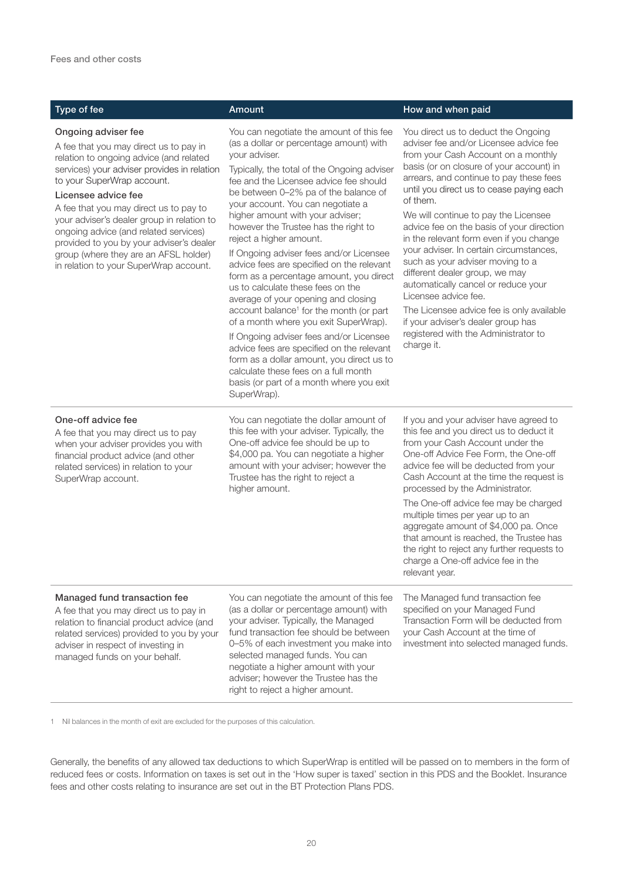#### Ongoing adviser fee

A fee that you may direct us to pay in relation to ongoing advice (and related services) your adviser provides in relation to your SuperWrap account.

#### Licensee advice fee

One-off advice fee

A fee that you may direct us to pay to your adviser's dealer group in relation to ongoing advice (and related services) provided to you by your adviser's dealer group (where they are an AFSL holder) in relation to your SuperWrap account.

You can negotiate the amount of this fee (as a dollar or percentage amount) with your adviser.

Typically, the total of the Ongoing adviser fee and the Licensee advice fee should be between 0–2% pa of the balance of your account. You can negotiate a higher amount with your adviser; however the Trustee has the right to reject a higher amount.

If Ongoing adviser fees and/or Licensee advice fees are specified on the relevant form as a percentage amount, you direct us to calculate these fees on the average of your opening and closing account balance<sup>1</sup> for the month (or part of a month where you exit SuperWrap).

If Ongoing adviser fees and/or Licensee advice fees are specified on the relevant form as a dollar amount, you direct us to calculate these fees on a full month basis (or part of a month where you exit SuperWrap).

#### Type of fee Amount How and when paid Amount How and when paid

You direct us to deduct the Ongoing adviser fee and/or Licensee advice fee from your Cash Account on a monthly basis (or on closure of your account) in arrears, and continue to pay these fees until you direct us to cease paying each of them.

We will continue to pay the Licensee advice fee on the basis of your direction in the relevant form even if you change your adviser. In certain circumstances, such as your adviser moving to a different dealer group, we may automatically cancel or reduce your Licensee advice fee.

The Licensee advice fee is only available if your adviser's dealer group has registered with the Administrator to charge it.

#### A fee that you may direct us to pay when your adviser provides you with financial product advice (and other related services) in relation to your SuperWrap account.

You can negotiate the dollar amount of this fee with your adviser. Typically, the One-off advice fee should be up to \$4,000 pa. You can negotiate a higher amount with your adviser; however the Trustee has the right to reject a higher amount.

If you and your adviser have agreed to this fee and you direct us to deduct it from your Cash Account under the One-off Advice Fee Form, the One-off advice fee will be deducted from your Cash Account at the time the request is processed by the Administrator.

The One-off advice fee may be charged multiple times per year up to an aggregate amount of \$4,000 pa. Once that amount is reached, the Trustee has the right to reject any further requests to charge a One-off advice fee in the relevant year.

#### Managed fund transaction fee

A fee that you may direct us to pay in relation to financial product advice (and related services) provided to you by your adviser in respect of investing in managed funds on your behalf.

You can negotiate the amount of this fee (as a dollar or percentage amount) with your adviser. Typically, the Managed fund transaction fee should be between 0–5% of each investment you make into selected managed funds. You can negotiate a higher amount with your adviser; however the Trustee has the right to reject a higher amount.

The Managed fund transaction fee specified on your Managed Fund Transaction Form will be deducted from your Cash Account at the time of investment into selected managed funds.

1 Nil balances in the month of exit are excluded for the purposes of this calculation.

Generally, the benefits of any allowed tax deductions to which SuperWrap is entitled will be passed on to members in the form of reduced fees or costs. Information on taxes is set out in the 'How super is taxed' section in this PDS and the Booklet. Insurance fees and other costs relating to insurance are set out in the BT Protection Plans PDS.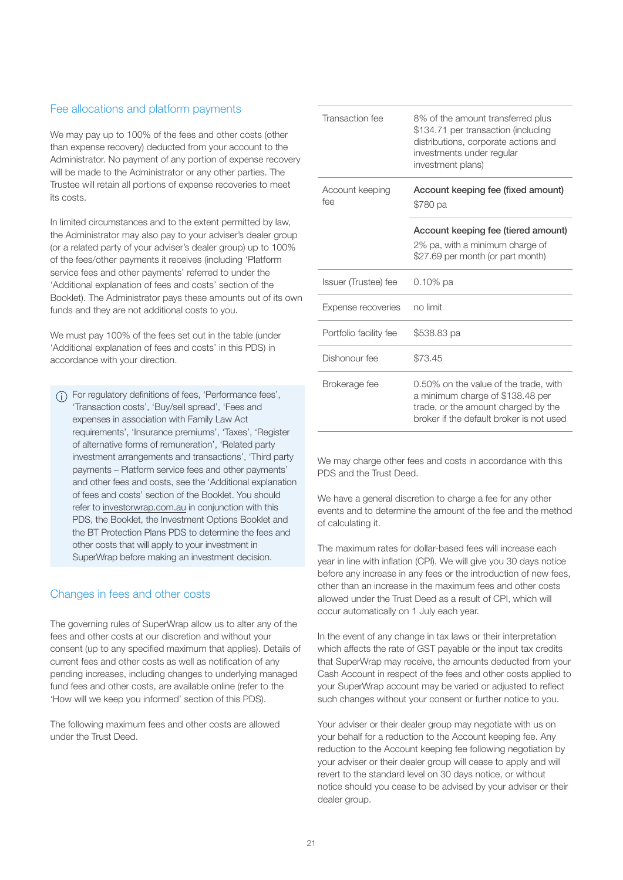#### Fee allocations and platform payments

We may pay up to 100% of the fees and other costs (other than expense recovery) deducted from your account to the Administrator. No payment of any portion of expense recovery will be made to the Administrator or any other parties. The Trustee will retain all portions of expense recoveries to meet its costs.

In limited circumstances and to the extent permitted by law, the Administrator may also pay to your adviser's dealer group (or a related party of your adviser's dealer group) up to 100% of the fees/other payments it receives (including 'Platform service fees and other payments' referred to under the 'Additional explanation of fees and costs' section of the Booklet). The Administrator pays these amounts out of its own funds and they are not additional costs to you.

We must pay 100% of the fees set out in the table (under 'Additional explanation of fees and costs' in this PDS) in accordance with your direction.

For regulatory definitions of fees, 'Performance fees', 'Transaction costs', 'Buy/sell spread', 'Fees and expenses in association with Family Law Act requirements', 'Insurance premiums', 'Taxes', 'Register of alternative forms of remuneration', 'Related party investment arrangements and transactions', 'Third party payments – Platform service fees and other payments' and other fees and costs, see the 'Additional explanation of fees and costs' section of the Booklet. You should refer to<investorwrap.com.au>in conjunction with this PDS, the Booklet, the Investment Options Booklet and the BT Protection Plans PDS to determine the fees and other costs that will apply to your investment in SuperWrap before making an investment decision.

#### Changes in fees and other costs

The governing rules of SuperWrap allow us to alter any of the fees and other costs at our discretion and without your consent (up to any specified maximum that applies). Details of current fees and other costs as well as notification of any pending increases, including changes to underlying managed fund fees and other costs, are available online (refer to the 'How will we keep you informed' section of this PDS).

The following maximum fees and other costs are allowed under the Trust Deed.

| Transaction fee        | 8% of the amount transferred plus<br>\$134.71 per transaction (including<br>distributions, corporate actions and<br>investments under regular<br>investment plans) |  |
|------------------------|--------------------------------------------------------------------------------------------------------------------------------------------------------------------|--|
| Account keeping<br>fee | Account keeping fee (fixed amount)<br>\$780 pa                                                                                                                     |  |
|                        | Account keeping fee (tiered amount)<br>2% pa, with a minimum charge of                                                                                             |  |
|                        | \$27.69 per month (or part month)                                                                                                                                  |  |
| Issuer (Trustee) fee   | $0.10\%$ pa                                                                                                                                                        |  |
| Expense recoveries     | no limit                                                                                                                                                           |  |
| Portfolio facility fee | \$538.83 pa                                                                                                                                                        |  |
| Dishonour fee          | \$73.45                                                                                                                                                            |  |
| Brokerage fee          | 0.50% on the value of the trade, with<br>a minimum charge of \$138.48 per<br>trade, or the amount charged by the<br>broker if the default broker is not used       |  |

We may charge other fees and costs in accordance with this PDS and the Trust Deed.

We have a general discretion to charge a fee for any other events and to determine the amount of the fee and the method of calculating it.

The maximum rates for dollar-based fees will increase each year in line with inflation (CPI). We will give you 30 days notice before any increase in any fees or the introduction of new fees, other than an increase in the maximum fees and other costs allowed under the Trust Deed as a result of CPI, which will occur automatically on 1 July each year.

In the event of any change in tax laws or their interpretation which affects the rate of GST payable or the input tax credits that SuperWrap may receive, the amounts deducted from your Cash Account in respect of the fees and other costs applied to your SuperWrap account may be varied or adjusted to reflect such changes without your consent or further notice to you.

Your adviser or their dealer group may negotiate with us on your behalf for a reduction to the Account keeping fee. Any reduction to the Account keeping fee following negotiation by your adviser or their dealer group will cease to apply and will revert to the standard level on 30 days notice, or without notice should you cease to be advised by your adviser or their dealer group.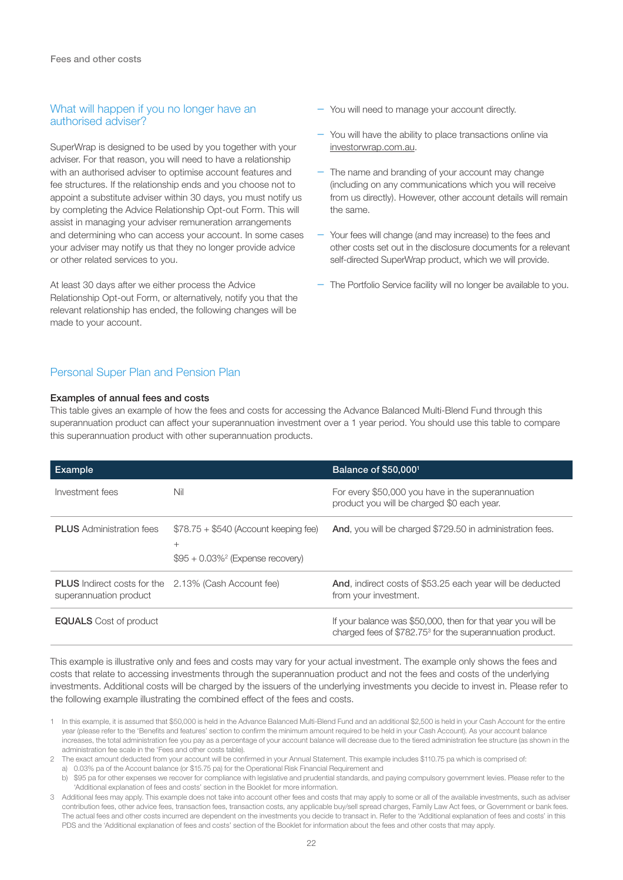#### What will happen if you no longer have an authorised adviser?

SuperWrap is designed to be used by you together with your adviser. For that reason, you will need to have a relationship with an authorised adviser to optimise account features and fee structures. If the relationship ends and you choose not to appoint a substitute adviser within 30 days, you must notify us by completing the Advice Relationship Opt-out Form. This will assist in managing your adviser remuneration arrangements and determining who can access your account. In some cases your adviser may notify us that they no longer provide advice or other related services to you.

At least 30 days after we either process the Advice Relationship Opt-out Form, or alternatively, notify you that the relevant relationship has ended, the following changes will be made to your account.

- You will need to manage your account directly.
- You will have the ability to place transactions online via <investorwrap.com.au>.
- The name and branding of your account may change (including on any communications which you will receive from us directly). However, other account details will remain the same.
- Your fees will change (and may increase) to the fees and other costs set out in the disclosure documents for a relevant self-directed SuperWrap product, which we will provide.
- The Portfolio Service facility will no longer be available to you.

#### Personal Super Plan and Pension Plan

#### Examples of annual fees and costs

This table gives an example of how the fees and costs for accessing the Advance Balanced Multi-Blend Fund through this superannuation product can affect your superannuation investment over a 1 year period. You should use this table to compare this superannuation product with other superannuation products.

| Example                                                      |                                                                                                   | Balance of \$50,000 <sup>1</sup>                                                                                                      |
|--------------------------------------------------------------|---------------------------------------------------------------------------------------------------|---------------------------------------------------------------------------------------------------------------------------------------|
| Investment fees                                              | Nil                                                                                               | For every \$50,000 you have in the superannuation<br>product you will be charged \$0 each year.                                       |
| <b>PLUS</b> Administration fees                              | $$78.75 + $540$ (Account keeping fee)<br>$^{+}$<br>$$95 + 0.03\%$ <sup>2</sup> (Expense recovery) | And, you will be charged \$729.50 in administration fees.                                                                             |
| <b>PLUS</b> Indirect costs for the<br>superannuation product | 2.13% (Cash Account fee)                                                                          | <b>And, indirect costs of \$53.25 each year will be deducted</b><br>from your investment.                                             |
| <b>EQUALS</b> Cost of product                                |                                                                                                   | If your balance was \$50,000, then for that year you will be<br>charged fees of \$782.75 <sup>3</sup> for the superannuation product. |

This example is illustrative only and fees and costs may vary for your actual investment. The example only shows the fees and costs that relate to accessing investments through the superannuation product and not the fees and costs of the underlying investments. Additional costs will be charged by the issuers of the underlying investments you decide to invest in. Please refer to the following example illustrating the combined effect of the fees and costs.

- 1 In this example, it is assumed that \$50,000 is held in the Advance Balanced Multi-Blend Fund and an additional \$2,500 is held in your Cash Account for the entire year (please refer to the 'Benefits and features' section to confirm the minimum amount required to be held in your Cash Account). As your account balance increases, the total administration fee you pay as a percentage of your account balance will decrease due to the tiered administration fee structure (as shown in the administration fee scale in the 'Fees and other costs table).
- 2 The exact amount deducted from your account will be confirmed in your Annual Statement. This example includes \$110.75 pa which is comprised of:
	- a) 0.03% pa of the Account balance (or \$15.75 pa) for the Operational Risk Financial Requirement and
	- b) \$95 pa for other expenses we recover for compliance with legislative and prudential standards, and paying compulsory government levies. Please refer to the 'Additional explanation of fees and costs' section in the Booklet for more information.
- 3 Additional fees may apply. This example does not take into account other fees and costs that may apply to some or all of the available investments, such as adviser contribution fees, other advice fees, transaction fees, transaction costs, any applicable buy/sell spread charges, Family Law Act fees, or Government or bank fees. The actual fees and other costs incurred are dependent on the investments you decide to transact in. Refer to the 'Additional explanation of fees and costs' in this PDS and the 'Additional explanation of fees and costs' section of the Booklet for information about the fees and other costs that may apply.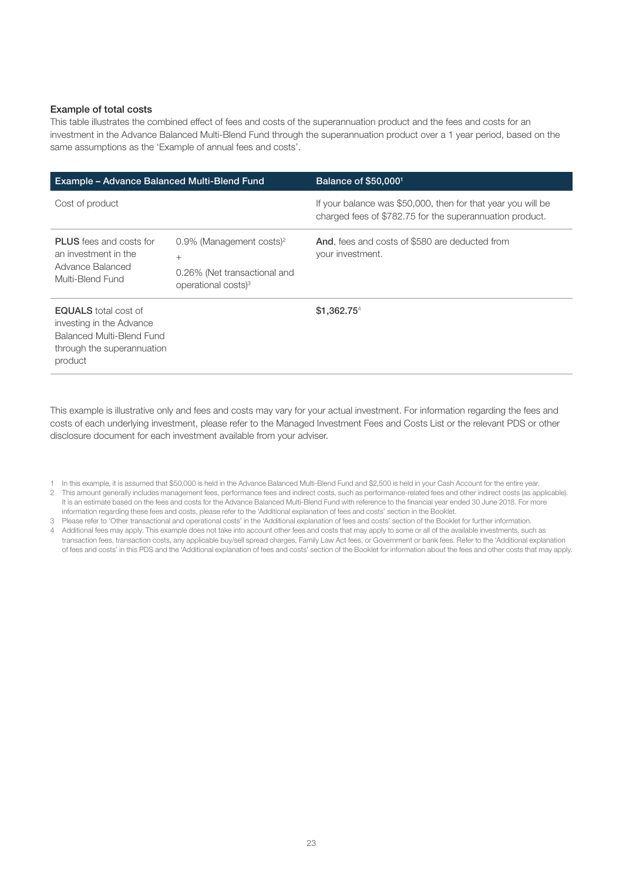#### Example of total costs

This table illustrates the combined effect of fees and costs of the superannuation product and the fees and costs for an investment in the Advance Balanced Multi-Blend Fund through the superannuation product over a 1 year period, based on the same assumptions as the 'Example of annual fees and costs'.

| Example - Advance Balanced Multi-Blend Fund                                                                                   |                                                                                                                      | Balance of \$50,0001                                                                                                     |  |
|-------------------------------------------------------------------------------------------------------------------------------|----------------------------------------------------------------------------------------------------------------------|--------------------------------------------------------------------------------------------------------------------------|--|
| Cost of product                                                                                                               |                                                                                                                      | If your balance was \$50,000, then for that year you will be<br>charged fees of \$782.75 for the superannuation product. |  |
| <b>PLUS</b> fees and costs for<br>an investment in the<br>Advance Balanced<br>Multi-Blend Fund                                | $0.9\%$ (Management costs) <sup>2</sup><br>$^{+}$<br>0.26% (Net transactional and<br>operational costs) <sup>3</sup> | And, fees and costs of \$580 are deducted from<br>your investment.                                                       |  |
| <b>EQUALS</b> total cost of<br>investing in the Advance<br>Balanced Multi-Blend Fund<br>through the superannuation<br>product |                                                                                                                      | \$1.362.754                                                                                                              |  |

This example is illustrative only and fees and costs may vary for your actual investment. For information regarding the fees and costs of each underlying investment, please refer to the Managed Investment Fees and Costs List or the relevant PDS or other disclosure document for each investment available from your adviser.

- 2 This amount generally includes management fees, performance fees and indirect costs, such as performance-related fees and other indirect costs (as applicable). It is an estimate based on the fees and costs for the Advance Balanced Multi-Blend Fund with reference to the financial year ended 30 June 2018. For more information regarding these fees and costs, please refer to the 'Additional explanation of fees and costs' section in the Booklet.
- 3 Please refer to 'Other transactional and operational costs' in the 'Additional explanation of fees and costs' section of the Booklet for further information. 4 Additional fees may apply. This example does not take into account other fees and costs that may apply to some or all of the available investments, such as transaction fees, transaction costs, any applicable buy/sell spread charges, Family Law Act fees, or Government or bank fees. Refer to the 'Additional explanation of fees and costs' in this PDS and the 'Additional explanation of fees and costs' section of the Booklet for information about the fees and other costs that may apply.

<sup>1</sup> In this example, it is assumed that \$50,000 is held in the Advance Balanced Multi-Blend Fund and \$2,500 is held in your Cash Account for the entire year.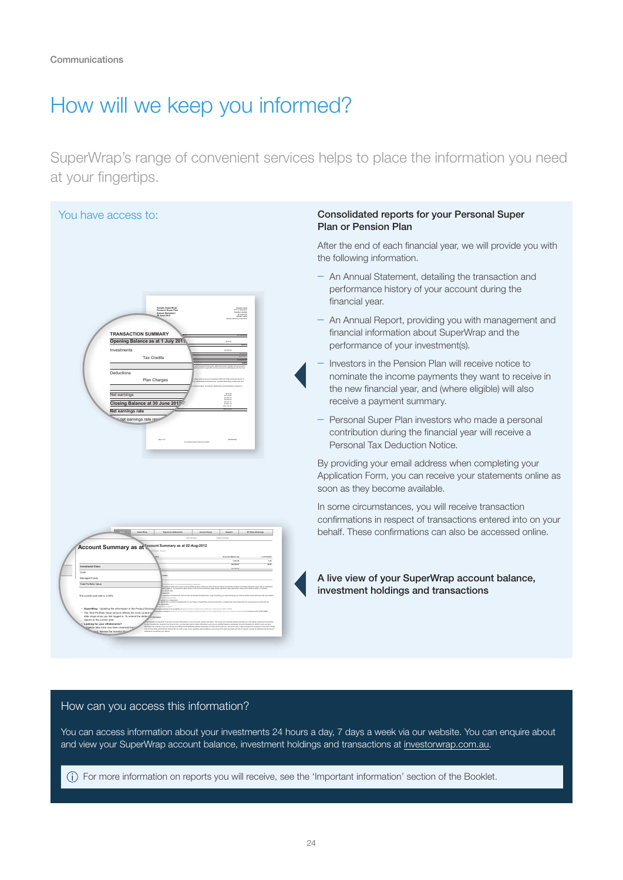### How will we keep you informed?

SuperWrap's range of convenient services helps to place the information you need at your fingertips.



#### How can you access this information?

You can access information about your investments 24 hours a day, 7 days a week via our website. You can enquire about and view your SuperWrap account balance, investment holdings and transactions at<investorwrap.com.au>.

For more information on reports you will receive, see the 'Important information' section of the Booklet.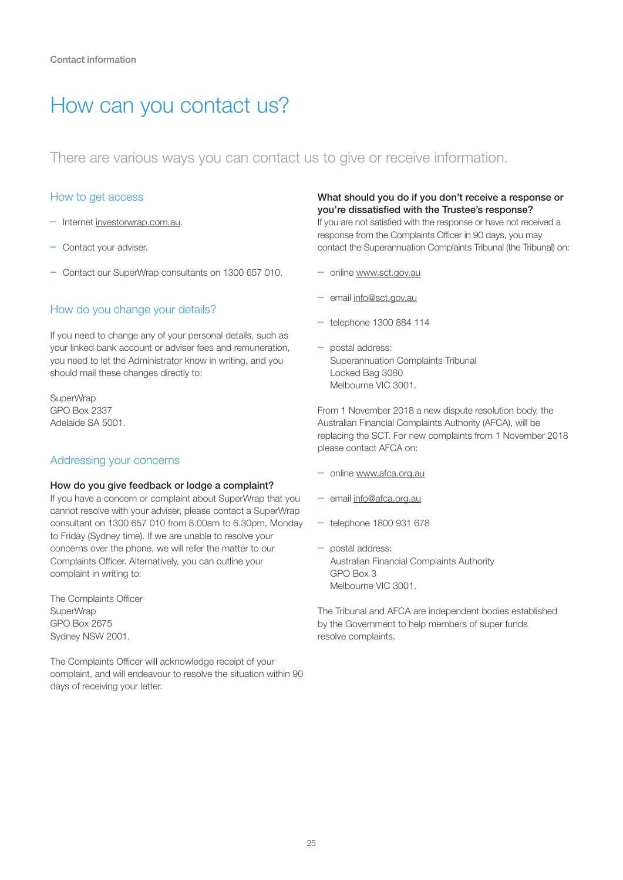### How can you contact us?

There are various ways you can contact us to give or receive information.

#### How to get access

- Internet <investorwrap.com.au>.
- Contact your adviser.
- Contact our SuperWrap consultants on 1300 657 010.

### How do you change your details?

If you need to change any of your personal details, such as your linked bank account or adviser fees and remuneration, you need to let the Administrator know in writing, and you should mail these changes directly to:

SuperWrap GPO Box 2337 Adelaide SA 5001.

#### Addressing your concerns

#### How do you give feedback or lodge a complaint?

If you have a concern or complaint about SuperWrap that you cannot resolve with your adviser, please contact a SuperWrap consultant on 1300 657 010 from 8.00am to 6.30pm, Monday to Friday (Sydney time). If we are unable to resolve your concerns over the phone, we will refer the matter to our Complaints Officer. Alternatively, you can outline your complaint in writing to:

The Complaints Officer **SuperWrap** GPO Box 2675 Sydney NSW 2001.

The Complaints Officer will acknowledge receipt of your complaint, and will endeavour to resolve the situation within 90 days of receiving your letter.

#### What should you do if you don't receive a response or you're dissatisfied with the Trustee's response?

If you are not satisfied with the response or have not received a response from the Complaints Officer in 90 days, you may contact the Superannuation Complaints Tribunal (the Tribunal) on:

- online <www.sct.gov.au>
- email [info@sct.gov.au](mailto:info@sct.gov.au)
- telephone 1300 884 114
- postal address: Superannuation Complaints Tribunal Locked Bag 3060 Melbourne VIC 3001.

From 1 November 2018 a new dispute resolution body, the Australian Financial Complaints Authority (AFCA), will be replacing the SCT. For new complaints from 1 November 2018 please contact AFCA on:

- online <www.afca.org.au>
- email [info@afca.org.au](mailto:info@afca.org.au)
- telephone 1800 931 678
- postal address: Australian Financial Complaints Authority GPO Box 3 Melbourne VIC 3001.

The Tribunal and AFCA are independent bodies established by the Government to help members of super funds resolve complaints.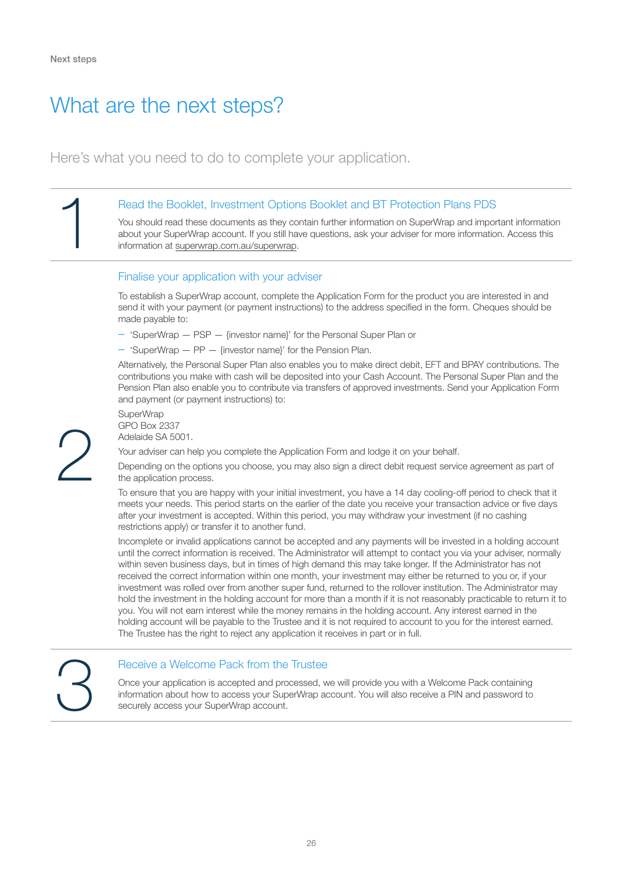### What are the next steps?

Here's what you need to do to complete your application.

#### Read the Booklet, Investment Options Booklet and BT Protection Plans PDS

You should read these documents as they contain further information on SuperWrap and important information about your SuperWrap account. If you still have questions, ask your adviser for more information. Access this information at [superwrap.com.au/superwrap.](superwrap.com.au/superwrap)

#### Finalise your application with your adviser

To establish a SuperWrap account, complete the Application Form for the product you are interested in and send it with your payment (or payment instructions) to the address specified in the form. Cheques should be made payable to:

- 'SuperWrap PSP {investor name}' for the Personal Super Plan or
- 'SuperWrap PP {investor name}' for the Pension Plan.

Alternatively, the Personal Super Plan also enables you to make direct debit, EFT and BPAY contributions. The contributions you make with cash will be deposited into your Cash Account. The Personal Super Plan and the Pension Plan also enable you to contribute via transfers of approved investments. Send your Application Form and payment (or payment instructions) to:

**SuperWrap** GPO Box 2337 Adelaide SA 5001.

Your adviser can help you complete the Application Form and lodge it on your behalf.

Depending on the options you choose, you may also sign a direct debit request service agreement as part of the application process.

To ensure that you are happy with your initial investment, you have a 14 day cooling-off period to check that it meets your needs. This period starts on the earlier of the date you receive your transaction advice or five days after your investment is accepted. Within this period, you may withdraw your investment (if no cashing restrictions apply) or transfer it to another fund.

Incomplete or invalid applications cannot be accepted and any payments will be invested in a holding account until the correct information is received. The Administrator will attempt to contact you via your adviser, normally within seven business days, but in times of high demand this may take longer. If the Administrator has not received the correct information within one month, your investment may either be returned to you or, if your investment was rolled over from another super fund, returned to the rollover institution. The Administrator may hold the investment in the holding account for more than a month if it is not reasonably practicable to return it to you. You will not earn interest while the money remains in the holding account. Any interest earned in the holding account will be payable to the Trustee and it is not required to account to you for the interest earned. The Trustee has the right to reject any application it receives in part or in full.

#### 3 Receive a Welcome Pack from the Trustee

Once your application is accepted and processed, we will provide you with a Welcome Pack containing information about how to access your SuperWrap account. You will also receive a PIN and password to securely access your SuperWrap account.

2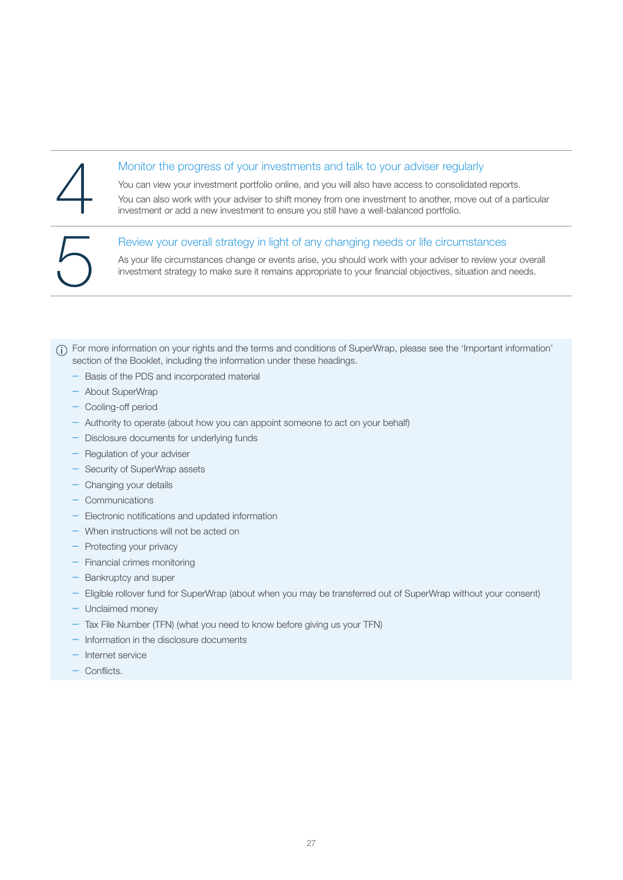#### Monitor the progress of your investments and talk to your adviser regularly

You can view your investment portfolio online, and you will also have access to consolidated reports.

You can also work with your adviser to shift money from one investment to another, move out of a particular investment or add a new investment to ensure you still have a well-balanced portfolio.

#### Review your overall strategy in light of any changing needs or life circumstances

As your life circumstances change or events arise, you should work with your adviser to review your overall investment strategy to make sure it remains appropriate to your financial objectives, situation and needs.

(i) For more information on your rights and the terms and conditions of SuperWrap, please see the 'Important information' section of the Booklet, including the information under these headings.

- Basis of the PDS and incorporated material
- About SuperWrap
- Cooling-off period
- Authority to operate (about how you can appoint someone to act on your behalf)
- Disclosure documents for underlying funds
- Regulation of your adviser
- Security of SuperWrap assets
- Changing your details
- Communications
- Electronic notifications and updated information
- When instructions will not be acted on
- Protecting your privacy
- Financial crimes monitoring
- Bankruptcy and super
- Eligible rollover fund for SuperWrap (about when you may be transferred out of SuperWrap without your consent)
- Unclaimed money
- Tax File Number (TFN) (what you need to know before giving us your TFN)
- Information in the disclosure documents
- Internet service
- Conflicts.